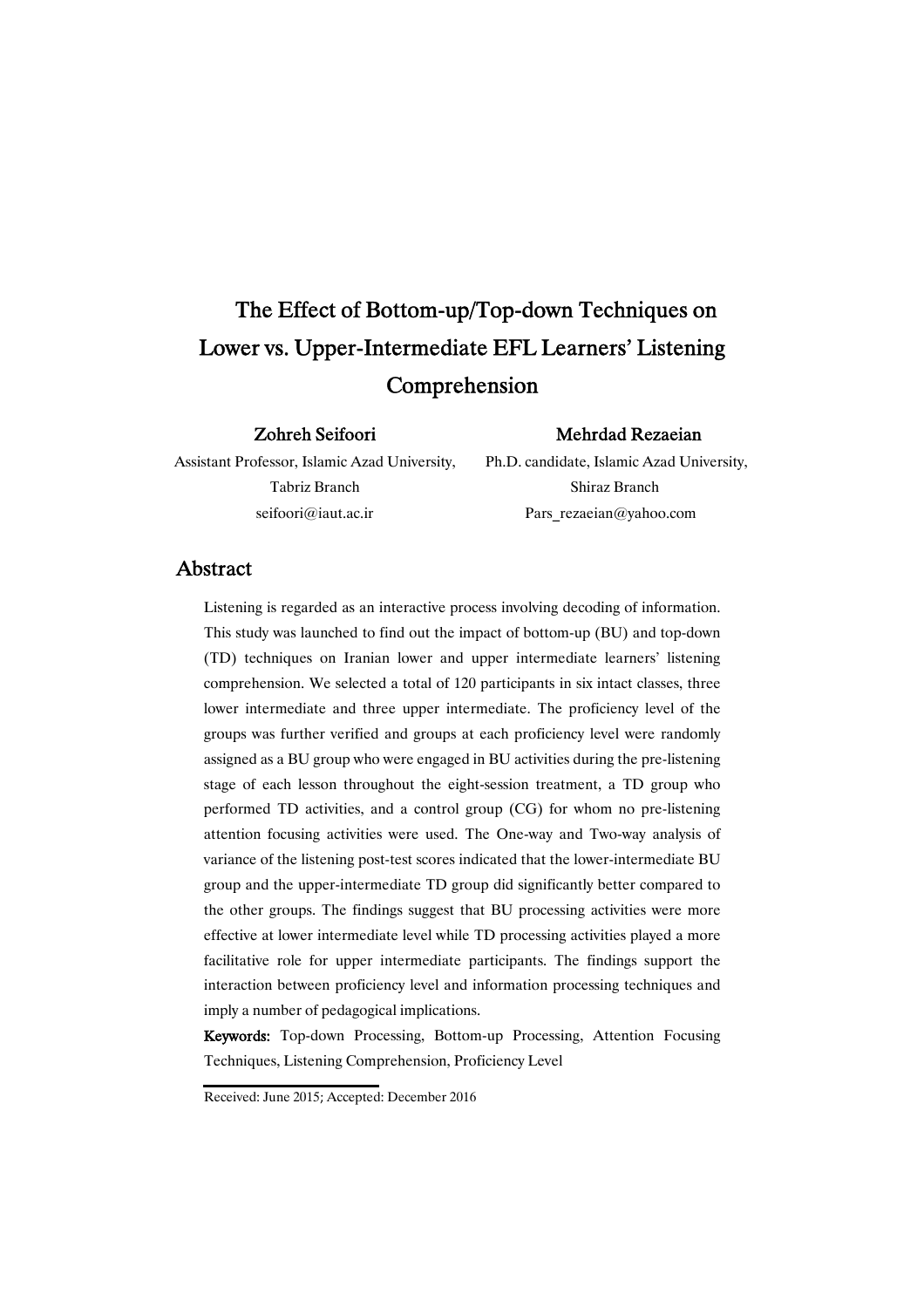# The Effect of Bottom-up/Top-down Techniques on Lower vs. Upper-Intermediate EFL Learners' Listening Comprehension

Zohreh Seifoori

### Mehrdad Rezaeian

Assistant Professor, Islamic Azad University, Tabriz Branch seifoori@iaut.ac.ir

Ph.D. candidate, Islamic Azad University, Shiraz Branch Pars\_rezaeian@yahoo.com

# Abstract

Listening is regarded as an interactive process involving decoding of information. This study was launched to find out the impact of bottom-up (BU) and top-down (TD) techniques on Iranian lower and upper intermediate learners' listening comprehension. We selected a total of 120 participants in six intact classes, three lower intermediate and three upper intermediate. The proficiency level of the groups was further verified and groups at each proficiency level were randomly assigned as a BU group who were engaged in BU activities during the pre-listening stage of each lesson throughout the eight-session treatment, a TD group who performed TD activities, and a control group (CG) for whom no pre-listening attention focusing activities were used. The One-way and Two-way analysis of variance of the listening post-test scores indicated that the lower-intermediate BU group and the upper-intermediate TD group did significantly better compared to the other groups. The findings suggest that BU processing activities were more effective at lower intermediate level while TD processing activities played a more facilitative role for upper intermediate participants. The findings support the interaction between proficiency level and information processing techniques and imply a number of pedagogical implications.

Keywords: Top-down Processing, Bottom-up Processing, Attention Focusing Techniques, Listening Comprehension, Proficiency Level

Received: June 2015; Accepted: December 2016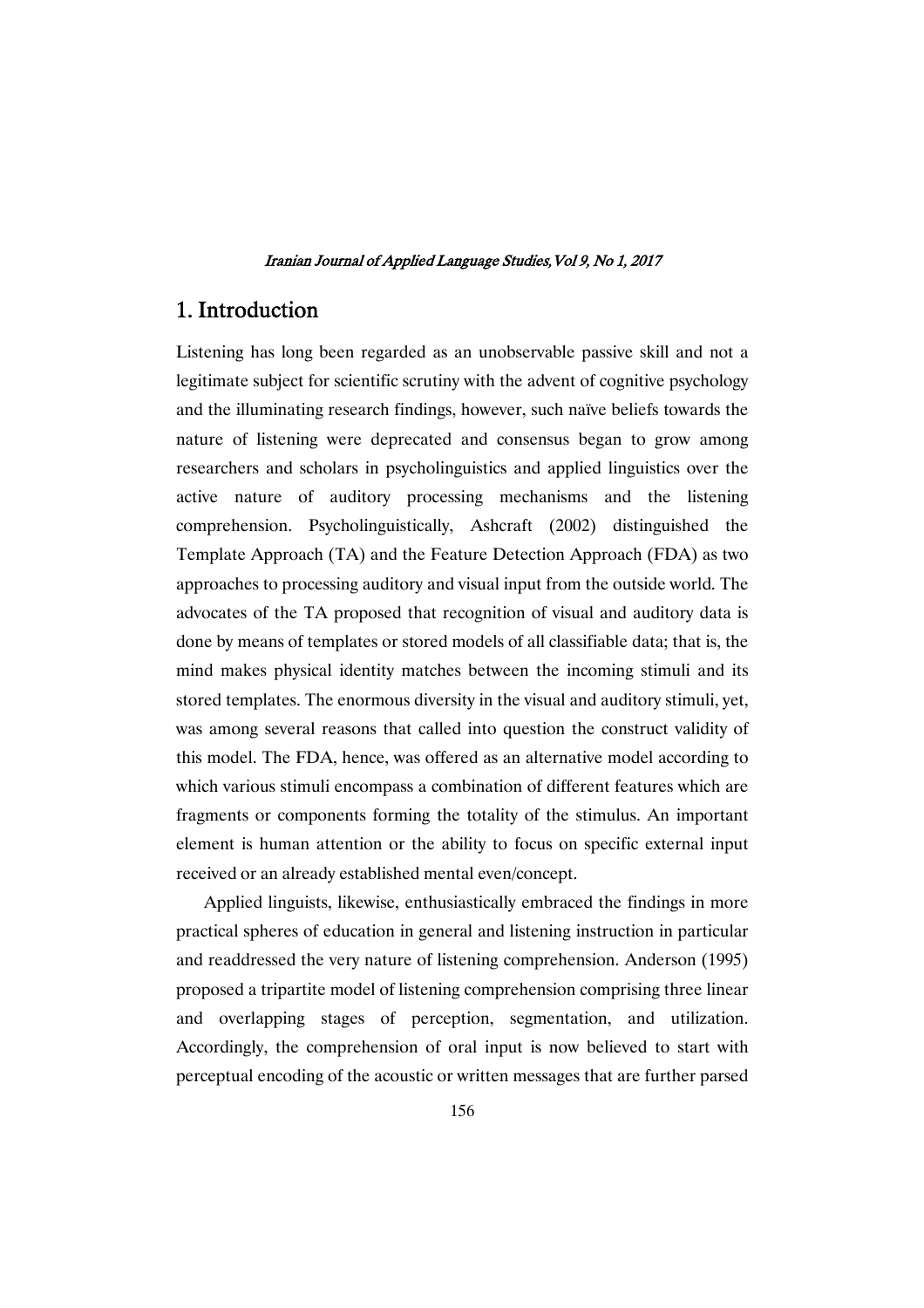# 1. Introduction

Listening has long been regarded as an unobservable passive skill and not a legitimate subject for scientific scrutiny with the advent of cognitive psychology and the illuminating research findings, however, such naïve beliefs towards the nature of listening were deprecated and consensus began to grow among researchers and scholars in psycholinguistics and applied linguistics over the active nature of auditory processing mechanisms and the listening comprehension. Psycholinguistically, Ashcraft (2002) distinguished the Template Approach (TA) and the Feature Detection Approach (FDA) as two approaches to processing auditory and visual input from the outside world. The advocates of the TA proposed that recognition of visual and auditory data is done by means of templates or stored models of all classifiable data; that is, the mind makes physical identity matches between the incoming stimuli and its stored templates. The enormous diversity in the visual and auditory stimuli, yet, was among several reasons that called into question the construct validity of this model. The FDA, hence, was offered as an alternative model according to which various stimuli encompass a combination of different features which are fragments or components forming the totality of the stimulus. An important element is human attention or the ability to focus on specific external input received or an already established mental even/concept.

Applied linguists, likewise, enthusiastically embraced the findings in more practical spheres of education in general and listening instruction in particular and readdressed the very nature of listening comprehension. Anderson (1995) proposed a tripartite model of listening comprehension comprising three linear and overlapping stages of perception, segmentation, and utilization. Accordingly, the comprehension of oral input is now believed to start with perceptual encoding of the acoustic or written messages that are further parsed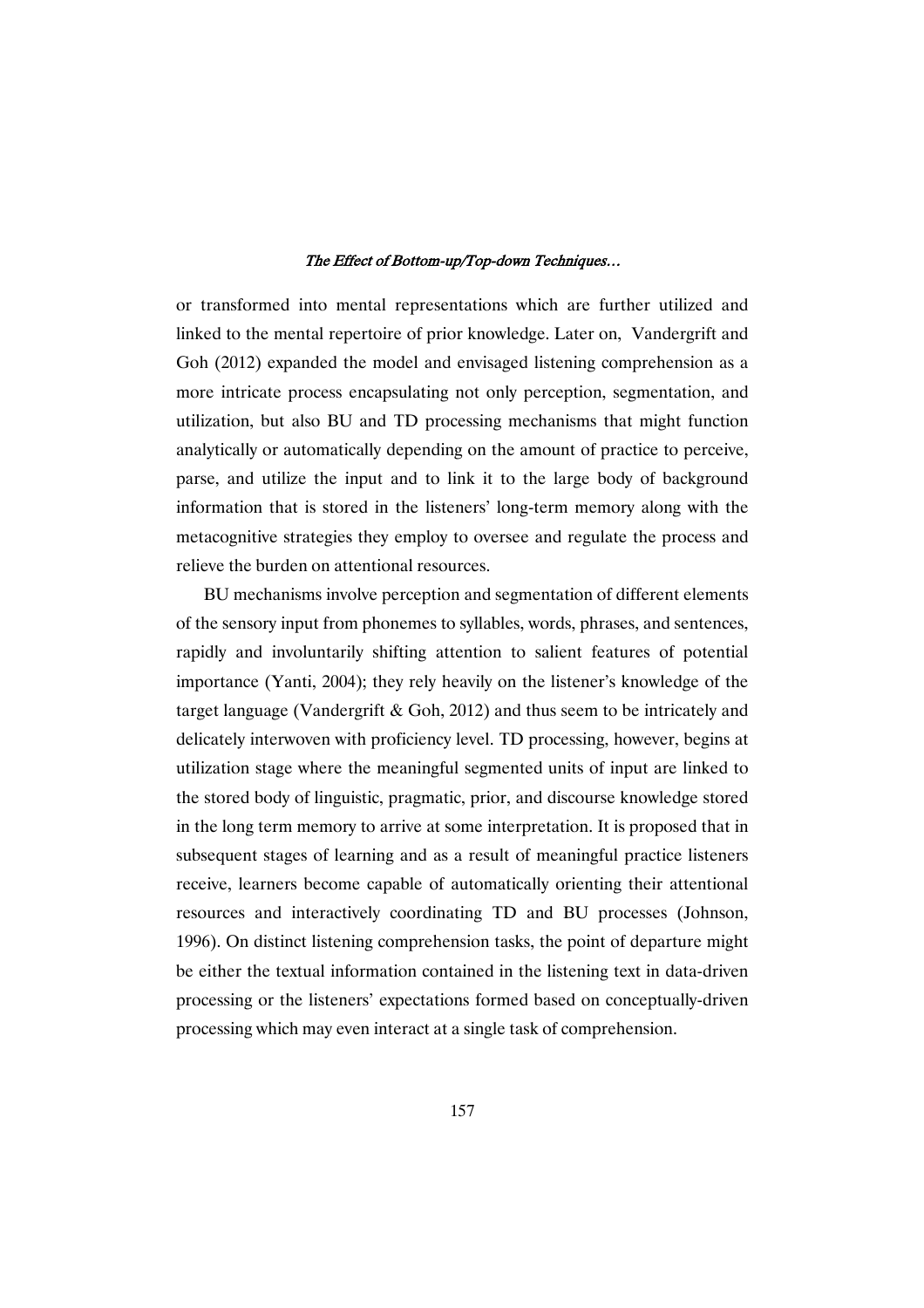or transformed into mental representations which are further utilized and linked to the mental repertoire of prior knowledge. Later on, Vandergrift and Goh (2012) expanded the model and envisaged listening comprehension as a more intricate process encapsulating not only perception, segmentation, and utilization, but also BU and TD processing mechanisms that might function analytically or automatically depending on the amount of practice to perceive, parse, and utilize the input and to link it to the large body of background information that is stored in the listeners' long-term memory along with the metacognitive strategies they employ to oversee and regulate the process and relieve the burden on attentional resources.

BU mechanisms involve perception and segmentation of different elements of the sensory input from phonemes to syllables, words, phrases, and sentences, rapidly and involuntarily shifting attention to salient features of potential importance (Yanti, 2004); they rely heavily on the listener's knowledge of the target language (Vandergrift & Goh, 2012) and thus seem to be intricately and delicately interwoven with proficiency level. TD processing, however, begins at utilization stage where the meaningful segmented units of input are linked to the stored body of linguistic, pragmatic, prior, and discourse knowledge stored in the long term memory to arrive at some interpretation. It is proposed that in subsequent stages of learning and as a result of meaningful practice listeners receive, learners become capable of automatically orienting their attentional resources and interactively coordinating TD and BU processes (Johnson, 1996). On distinct listening comprehension tasks, the point of departure might be either the textual information contained in the listening text in data-driven processing or the listeners' expectations formed based on conceptually-driven processing which may even interact at a single task of comprehension.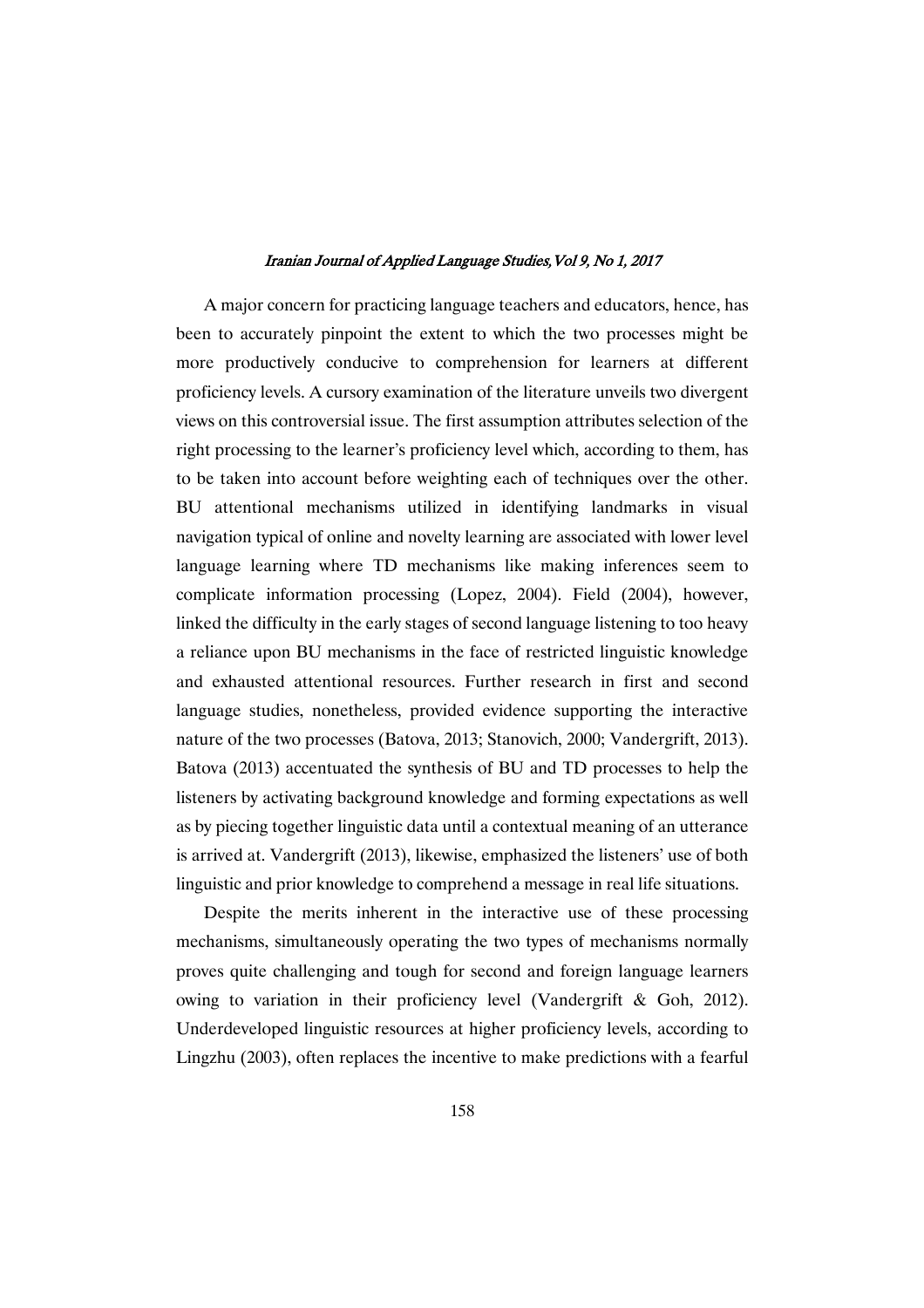A major concern for practicing language teachers and educators, hence, has been to accurately pinpoint the extent to which the two processes might be more productively conducive to comprehension for learners at different proficiency levels. A cursory examination of the literature unveils two divergent views on this controversial issue. The first assumption attributes selection of the right processing to the learner's proficiency level which, according to them, has to be taken into account before weighting each of techniques over the other. BU attentional mechanisms utilized in identifying landmarks in visual navigation typical of online and novelty learning are associated with lower level language learning where TD mechanisms like making inferences seem to complicate information processing (Lopez, 2004). Field (2004), however, linked the difficulty in the early stages of second language listening to too heavy a reliance upon BU mechanisms in the face of restricted linguistic knowledge and exhausted attentional resources. Further research in first and second language studies, nonetheless, provided evidence supporting the interactive nature of the two processes (Batova, 2013; Stanovich, 2000; Vandergrift, 2013). Batova (2013) accentuated the synthesis of BU and TD processes to help the listeners by activating background knowledge and forming expectations as well as by piecing together linguistic data until a contextual meaning of an utterance is arrived at. Vandergrift (2013), likewise, emphasized the listeners' use of both linguistic and prior knowledge to comprehend a message in real life situations.

Despite the merits inherent in the interactive use of these processing mechanisms, simultaneously operating the two types of mechanisms normally proves quite challenging and tough for second and foreign language learners owing to variation in their proficiency level (Vandergrift & Goh, 2012). Underdeveloped linguistic resources at higher proficiency levels, according to Lingzhu (2003), often replaces the incentive to make predictions with a fearful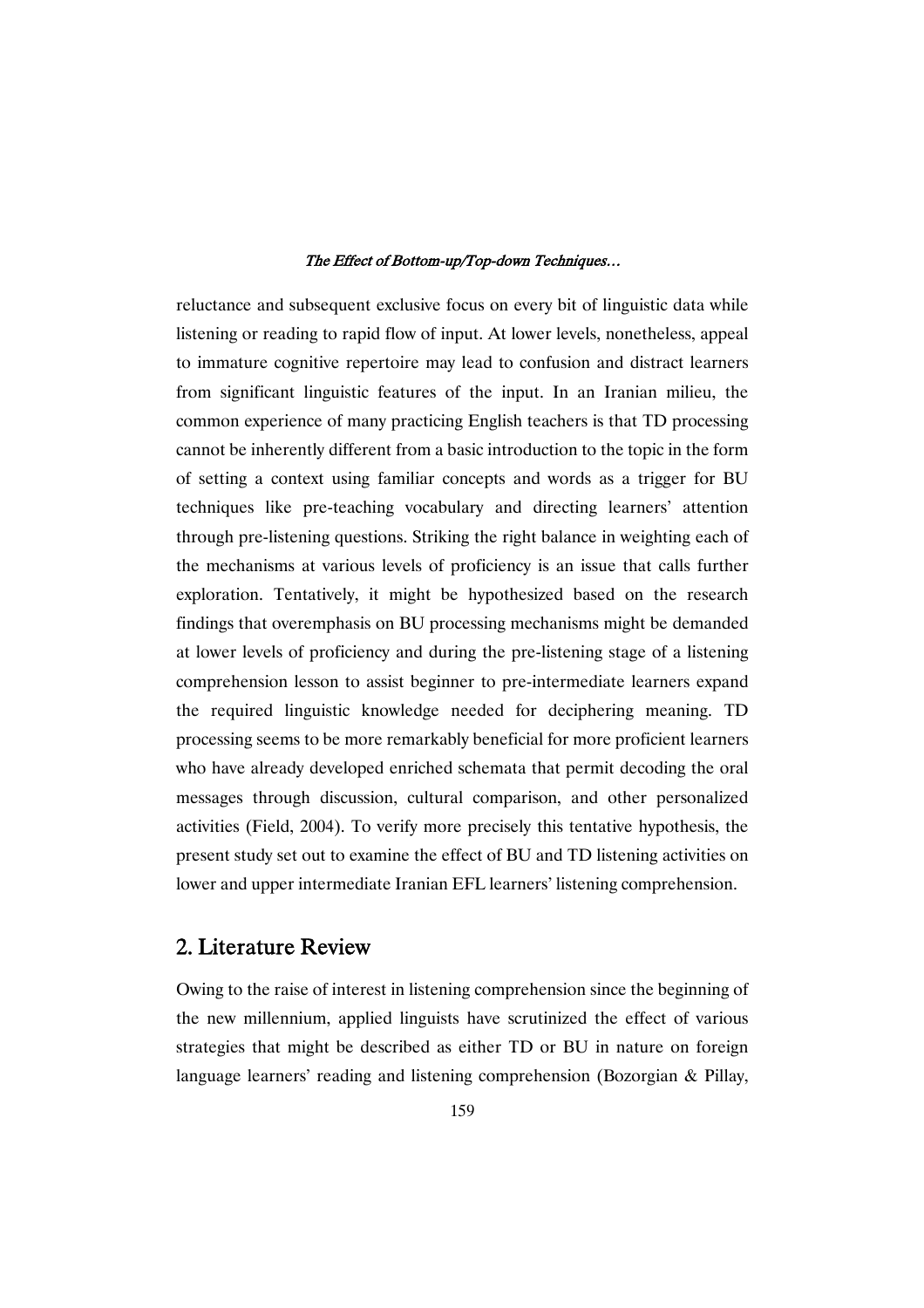reluctance and subsequent exclusive focus on every bit of linguistic data while listening or reading to rapid flow of input. At lower levels, nonetheless, appeal to immature cognitive repertoire may lead to confusion and distract learners from significant linguistic features of the input. In an Iranian milieu, the common experience of many practicing English teachers is that TD processing cannot be inherently different from a basic introduction to the topic in the form of setting a context using familiar concepts and words as a trigger for BU techniques like pre-teaching vocabulary and directing learners' attention through pre-listening questions. Striking the right balance in weighting each of the mechanisms at various levels of proficiency is an issue that calls further exploration. Tentatively, it might be hypothesized based on the research findings that overemphasis on BU processing mechanisms might be demanded at lower levels of proficiency and during the pre-listening stage of a listening comprehension lesson to assist beginner to pre-intermediate learners expand the required linguistic knowledge needed for deciphering meaning. TD processing seems to be more remarkably beneficial for more proficient learners who have already developed enriched schemata that permit decoding the oral messages through discussion, cultural comparison, and other personalized activities (Field, 2004). To verify more precisely this tentative hypothesis, the present study set out to examine the effect of BU and TD listening activities on lower and upper intermediate Iranian EFL learners' listening comprehension.

# 2. Literature Review

Owing to the raise of interest in listening comprehension since the beginning of the new millennium, applied linguists have scrutinized the effect of various strategies that might be described as either TD or BU in nature on foreign language learners' reading and listening comprehension (Bozorgian & Pillay,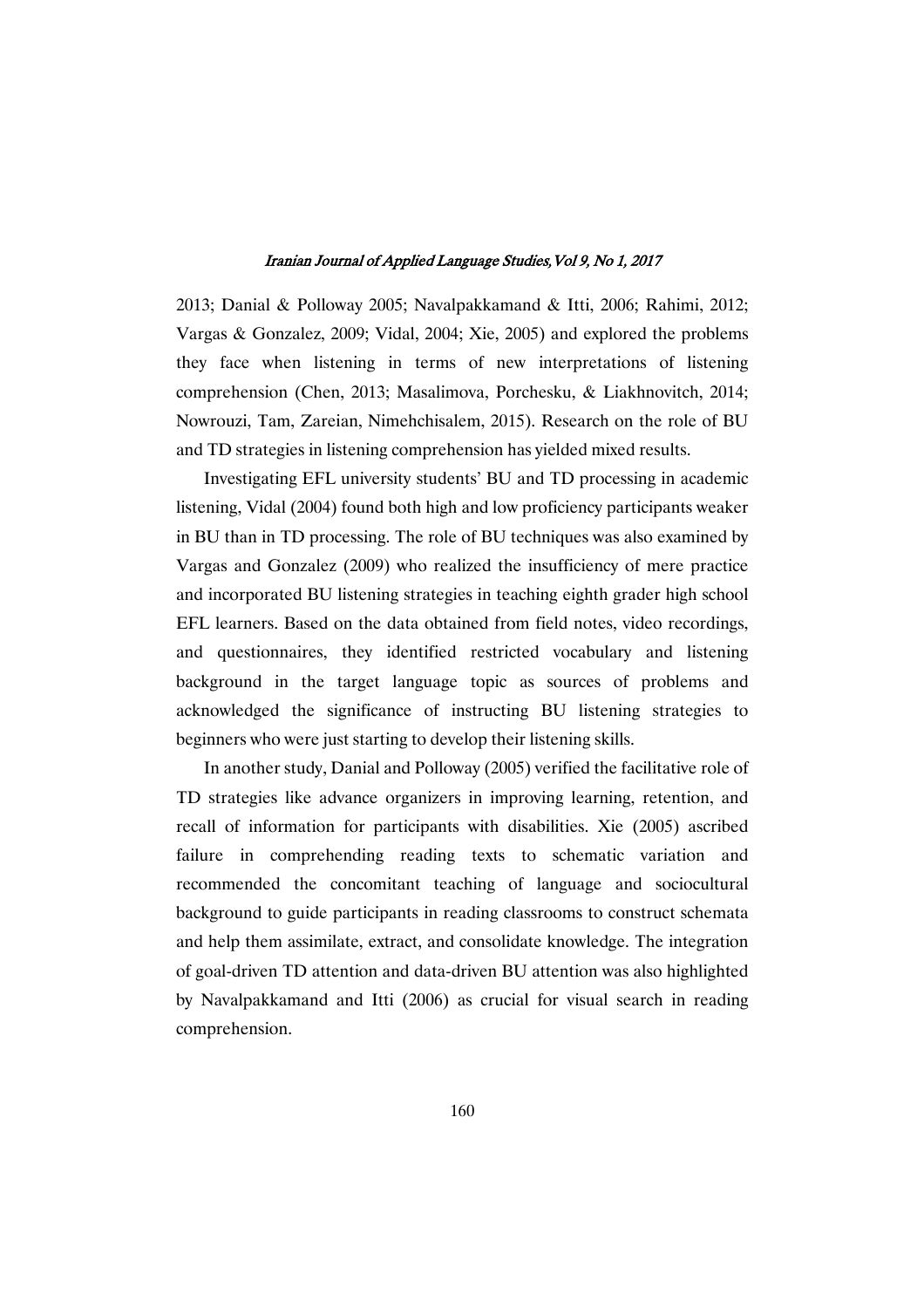2013; Danial & Polloway 2005; Navalpakkamand & Itti, 2006; Rahimi, 2012; Vargas & Gonzalez, 2009; Vidal, 2004; Xie, 2005) and explored the problems they face when listening in terms of new interpretations of listening comprehension (Chen, 2013; Masalimova, Porchesku, & Liakhnovitch, 2014; Nowrouzi, Tam, Zareian, Nimehchisalem, 2015). Research on the role of BU and TD strategies in listening comprehension has yielded mixed results.

Investigating EFL university students' BU and TD processing in academic listening, Vidal (2004) found both high and low proficiency participants weaker in BU than in TD processing. The role of BU techniques was also examined by Vargas and Gonzalez (2009) who realized the insufficiency of mere practice and incorporated BU listening strategies in teaching eighth grader high school EFL learners. Based on the data obtained from field notes, video recordings, and questionnaires, they identified restricted vocabulary and listening background in the target language topic as sources of problems and acknowledged the significance of instructing BU listening strategies to beginners who were just starting to develop their listening skills.

In another study, Danial and Polloway (2005) verified the facilitative role of TD strategies like advance organizers in improving learning, retention, and recall of information for participants with disabilities. Xie (2005) ascribed failure in comprehending reading texts to schematic variation and recommended the concomitant teaching of language and sociocultural background to guide participants in reading classrooms to construct schemata and help them assimilate, extract, and consolidate knowledge. The integration of goal-driven TD attention and data-driven BU attention was also highlighted by Navalpakkamand and Itti (2006) as crucial for visual search in reading comprehension.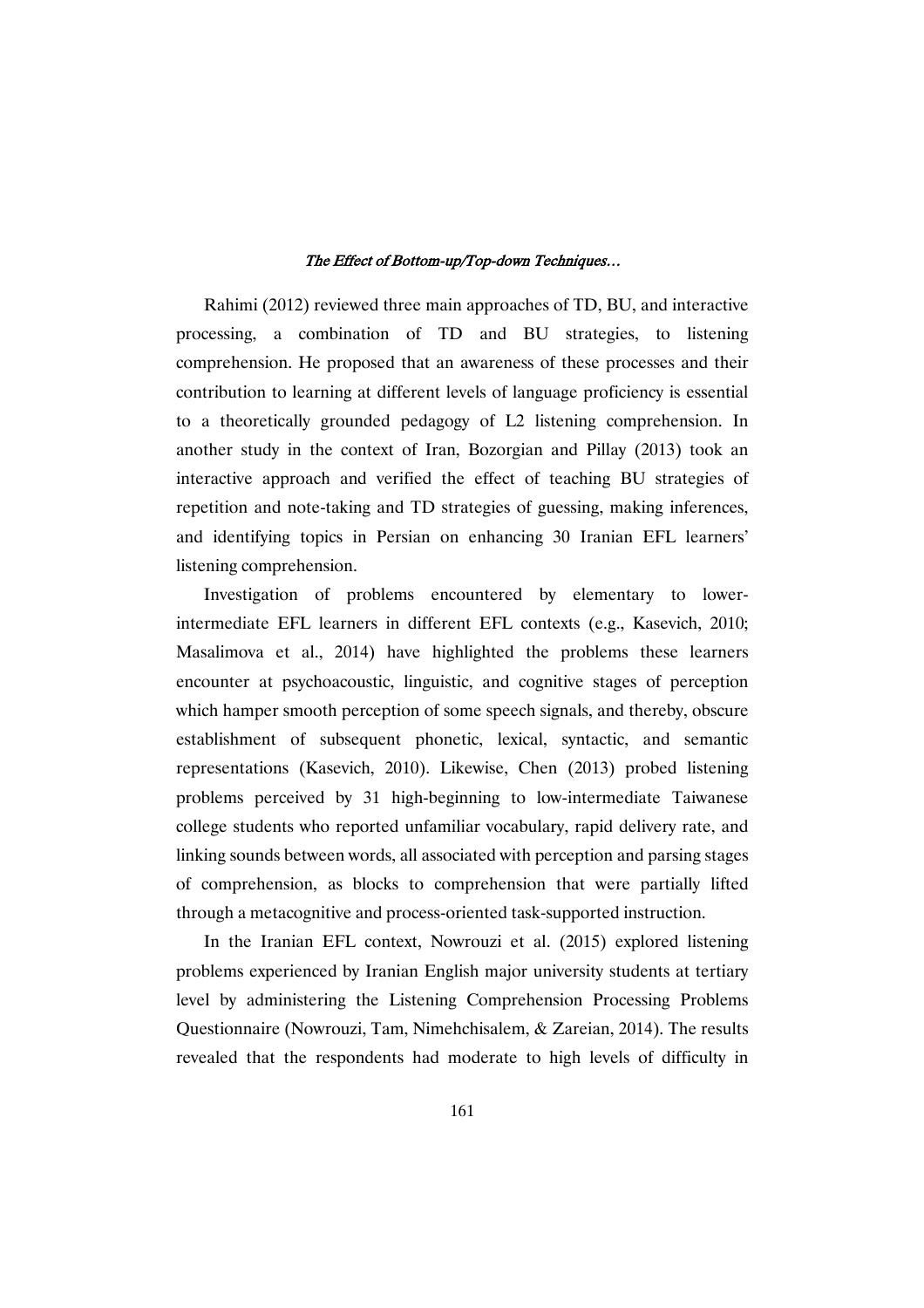Rahimi (2012) reviewed three main approaches of TD, BU, and interactive processing, a combination of TD and BU strategies, to listening comprehension. He proposed that an awareness of these processes and their contribution to learning at different levels of language proficiency is essential to a theoretically grounded pedagogy of L2 listening comprehension. In another study in the context of Iran, Bozorgian and Pillay (2013) took an interactive approach and verified the effect of teaching BU strategies of repetition and note-taking and TD strategies of guessing, making inferences, and identifying topics in Persian on enhancing 30 Iranian EFL learners' listening comprehension.

Investigation of problems encountered by elementary to lowerintermediate EFL learners in different EFL contexts (e.g., Kasevich, 2010; Masalimova et al., 2014) have highlighted the problems these learners encounter at psychoacoustic, linguistic, and cognitive stages of perception which hamper smooth perception of some speech signals, and thereby, obscure establishment of subsequent phonetic, lexical, syntactic, and semantic representations (Kasevich, 2010). Likewise, Chen (2013) probed listening problems perceived by 31 high-beginning to low-intermediate Taiwanese college students who reported unfamiliar vocabulary, rapid delivery rate, and linking sounds between words, all associated with perception and parsing stages of comprehension, as blocks to comprehension that were partially lifted through a metacognitive and process-oriented task-supported instruction.

In the Iranian EFL context, Nowrouzi et al. (2015) explored listening problems experienced by Iranian English major university students at tertiary level by administering the Listening Comprehension Processing Problems Questionnaire (Nowrouzi, Tam, Nimehchisalem, & Zareian, 2014). The results revealed that the respondents had moderate to high levels of difficulty in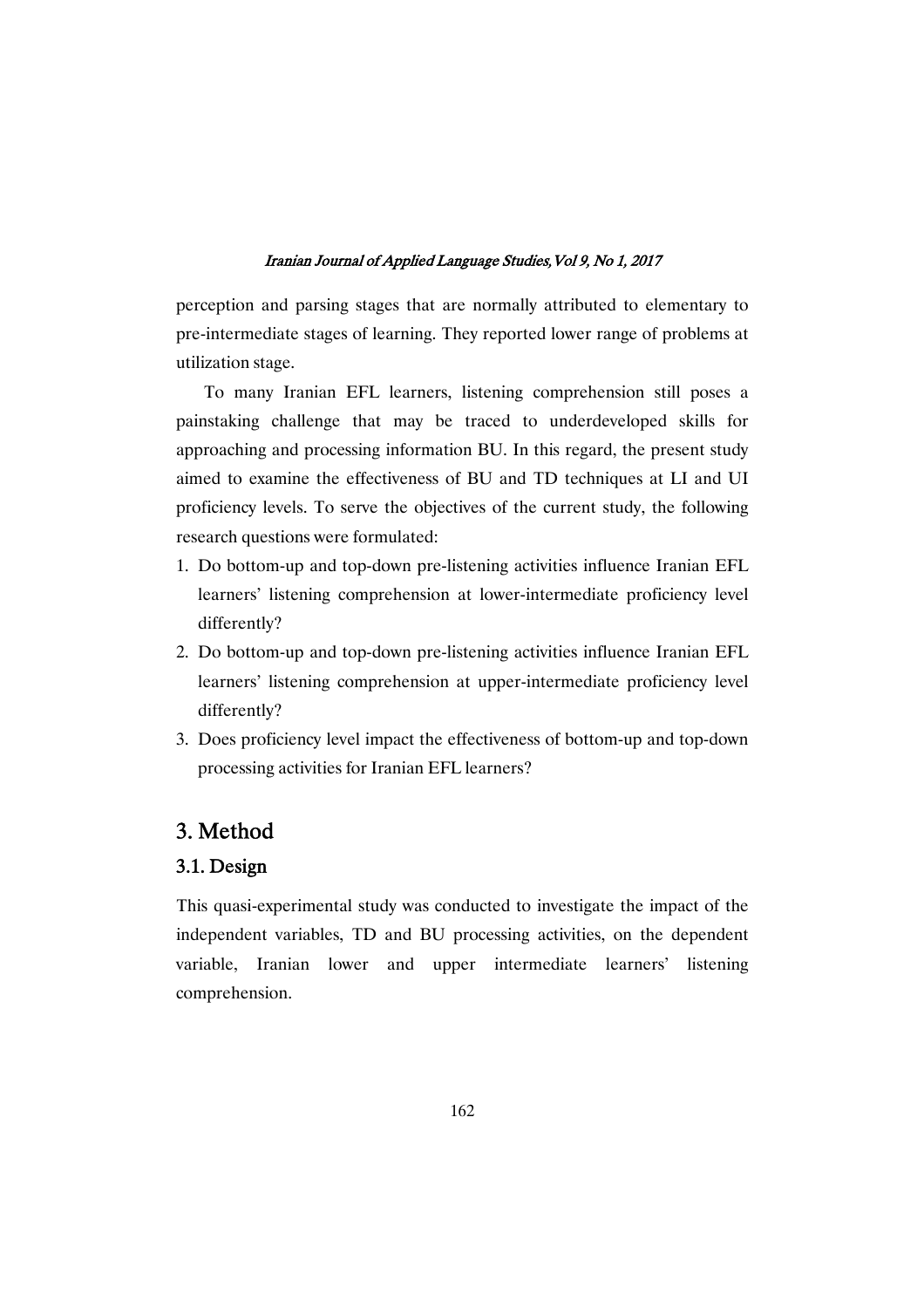perception and parsing stages that are normally attributed to elementary to pre-intermediate stages of learning. They reported lower range of problems at utilization stage.

To many Iranian EFL learners, listening comprehension still poses a painstaking challenge that may be traced to underdeveloped skills for approaching and processing information BU. In this regard, the present study aimed to examine the effectiveness of BU and TD techniques at LI and UI proficiency levels. To serve the objectives of the current study, the following research questions were formulated:

- 1. Do bottom-up and top-down pre-listening activities influence Iranian EFL learners' listening comprehension at lower-intermediate proficiency level differently?
- 2. Do bottom-up and top-down pre-listening activities influence Iranian EFL learners' listening comprehension at upper-intermediate proficiency level differently?
- 3. Does proficiency level impact the effectiveness of bottom-up and top-down processing activities for Iranian EFL learners?

# 3. Method

# 3.1.Design

This quasi-experimental study was conducted to investigate the impact of the independent variables, TD and BU processing activities, on the dependent variable, Iranian lower and upper intermediate learners' listening comprehension.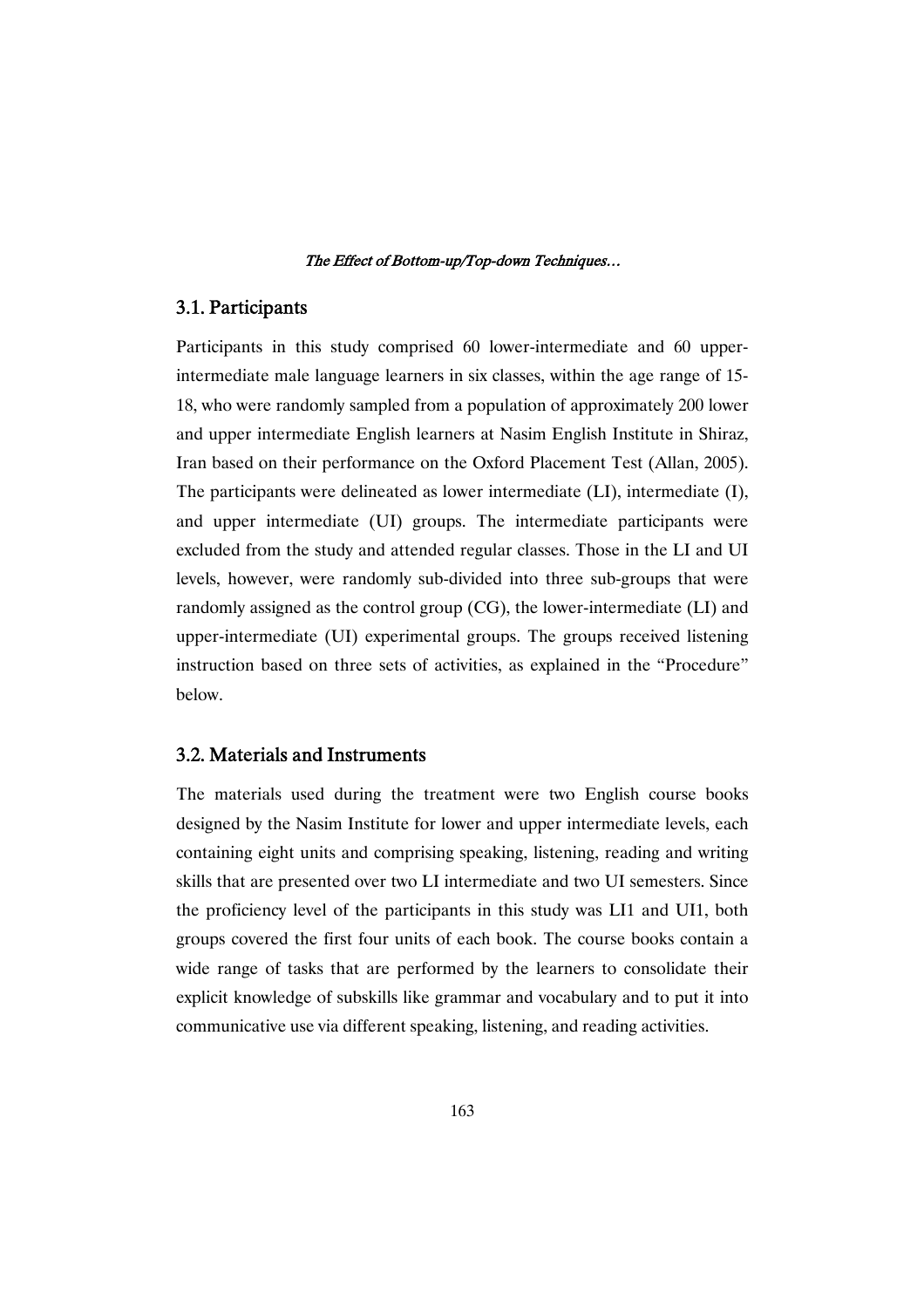# 3.1. Participants

Participants in this study comprised 60 lower-intermediate and 60 upperintermediate male language learners in six classes, within the age range of 15- 18, who were randomly sampled from a population of approximately 200 lower and upper intermediate English learners at Nasim English Institute in Shiraz, Iran based on their performance on the Oxford Placement Test (Allan, 2005). The participants were delineated as lower intermediate (LI), intermediate (I), and upper intermediate (UI) groups. The intermediate participants were excluded from the study and attended regular classes. Those in the LI and UI levels, however, were randomly sub-divided into three sub-groups that were randomly assigned as the control group (CG), the lower-intermediate (LI) and upper-intermediate (UI) experimental groups. The groups received listening instruction based on three sets of activities, as explained in the "Procedure" below.

### 3.2. Materials and Instruments

The materials used during the treatment were two English course books designed by the Nasim Institute for lower and upper intermediate levels, each containing eight units and comprising speaking, listening, reading and writing skills that are presented over two LI intermediate and two UI semesters. Since the proficiency level of the participants in this study was LI1 and UI1, both groups covered the first four units of each book. The course books contain a wide range of tasks that are performed by the learners to consolidate their explicit knowledge of subskills like grammar and vocabulary and to put it into communicative use via different speaking, listening, and reading activities.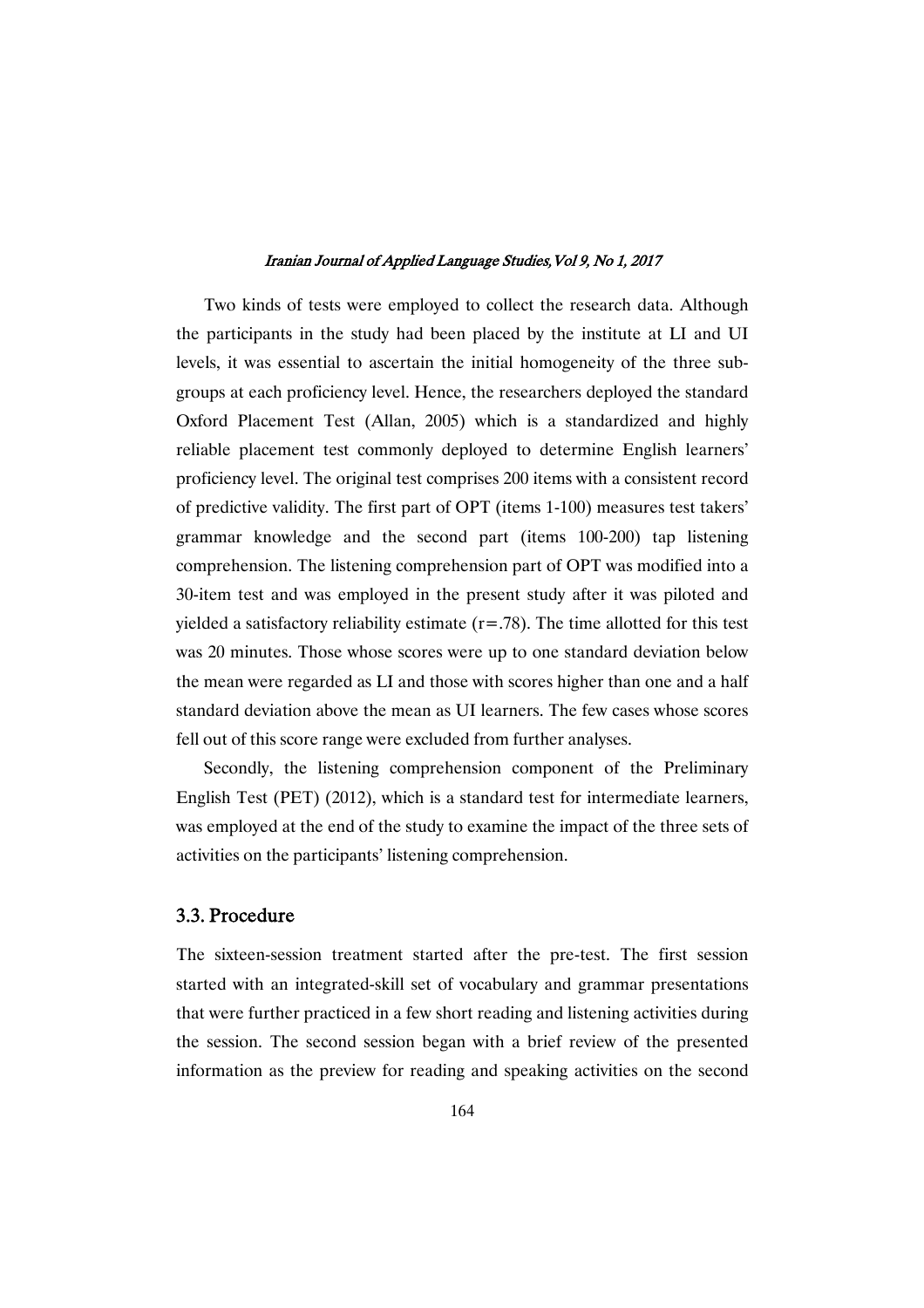Two kinds of tests were employed to collect the research data. Although the participants in the study had been placed by the institute at LI and UI levels, it was essential to ascertain the initial homogeneity of the three subgroups at each proficiency level. Hence, the researchers deployed the standard Oxford Placement Test (Allan, 2005) which is a standardized and highly reliable placement test commonly deployed to determine English learners' proficiency level. The original test comprises 200 items with a consistent record of predictive validity. The first part of OPT (items 1-100) measures test takers' grammar knowledge and the second part (items 100-200) tap listening comprehension. The listening comprehension part of OPT was modified into a 30-item test and was employed in the present study after it was piloted and yielded a satisfactory reliability estimate  $(r=.78)$ . The time allotted for this test was 20 minutes. Those whose scores were up to one standard deviation below the mean were regarded as LI and those with scores higher than one and a half standard deviation above the mean as UI learners. The few cases whose scores fell out of this score range were excluded from further analyses.

Secondly, the listening comprehension component of the Preliminary English Test (PET) (2012), which is a standard test for intermediate learners, was employed at the end of the study to examine the impact of the three sets of activities on the participants' listening comprehension.

# 3.3. Procedure

The sixteen-session treatment started after the pre-test. The first session started with an integrated-skill set of vocabulary and grammar presentations that were further practiced in a few short reading and listening activities during the session. The second session began with a brief review of the presented information as the preview for reading and speaking activities on the second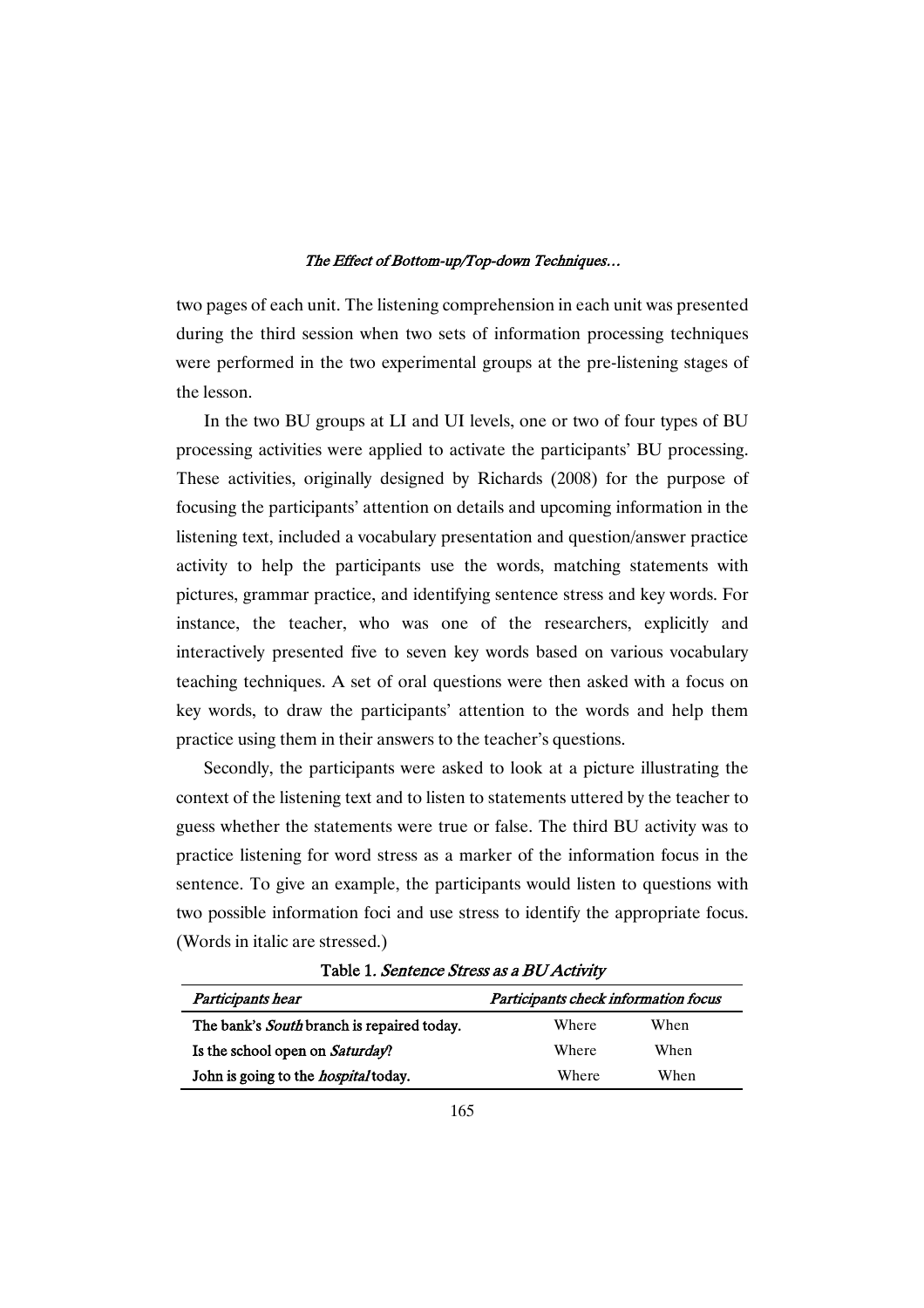two pages of each unit. The listening comprehension in each unit was presented during the third session when two sets of information processing techniques were performed in the two experimental groups at the pre-listening stages of the lesson.

In the two BU groups at LI and UI levels, one or two of four types of BU processing activities were applied to activate the participants' BU processing. These activities, originally designed by Richards (2008) for the purpose of focusing the participants' attention on details and upcoming information in the listening text, included a vocabulary presentation and question/answer practice activity to help the participants use the words, matching statements with pictures, grammar practice, and identifying sentence stress and key words. For instance, the teacher, who was one of the researchers, explicitly and interactively presented five to seven key words based on various vocabulary teaching techniques. A set of oral questions were then asked with a focus on key words, to draw the participants' attention to the words and help them practice using them in their answers to the teacher's questions.

Secondly, the participants were asked to look at a picture illustrating the context of the listening text and to listen to statements uttered by the teacher to guess whether the statements were true or false. The third BU activity was to practice listening for word stress as a marker of the information focus in the sentence. To give an example, the participants would listen to questions with two possible information foci and use stress to identify the appropriate focus. (Words in italic are stressed.)

| Participants hear                           | Participants check information focus |      |  |  |
|---------------------------------------------|--------------------------------------|------|--|--|
| The bank's South branch is repaired today.  | Where                                | When |  |  |
| Is the school open on Saturday?             | Where                                | When |  |  |
| John is going to the <i>hospital</i> today. | Where                                | When |  |  |

Table 1. Sentence Stress as a BU Activity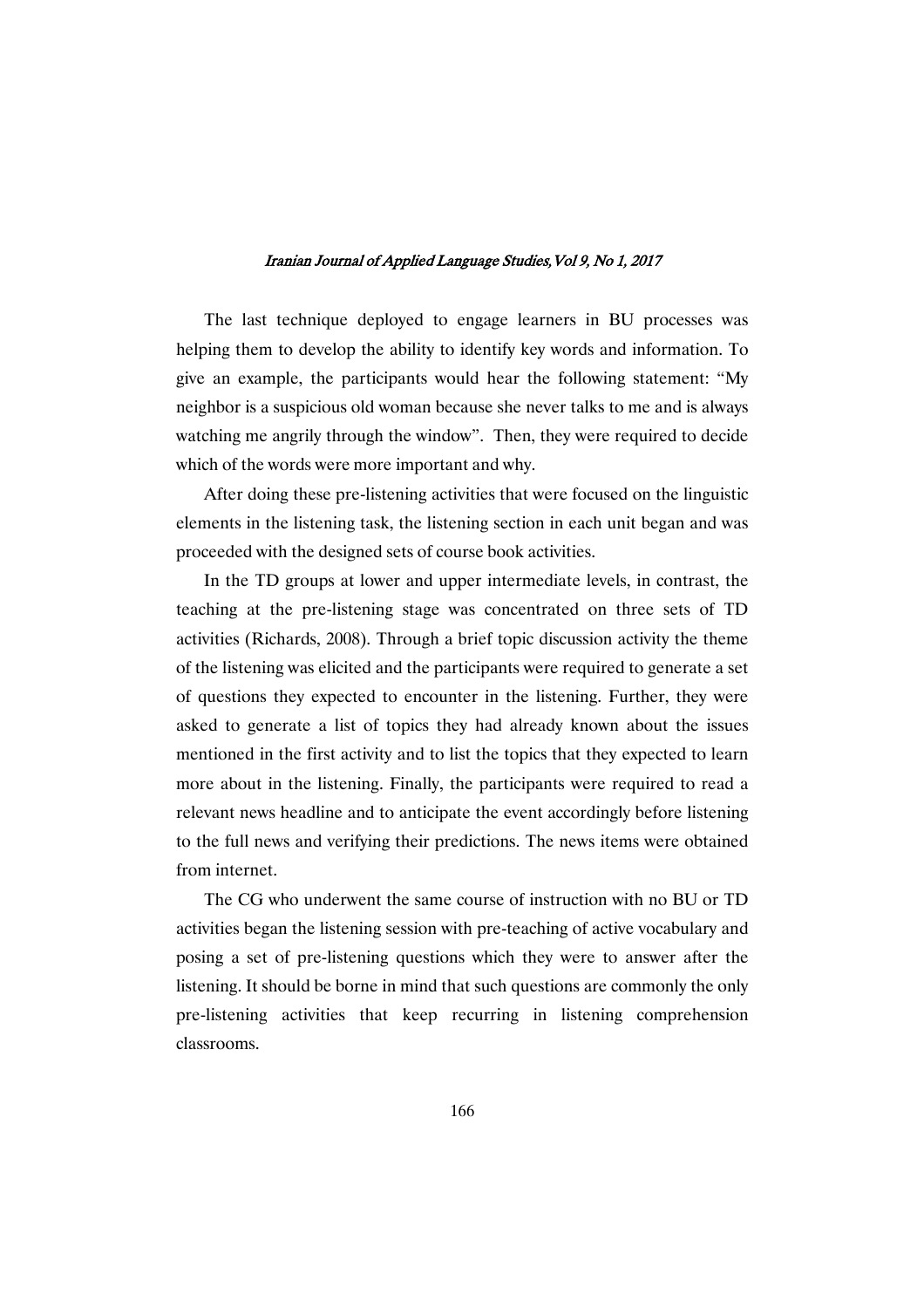The last technique deployed to engage learners in BU processes was helping them to develop the ability to identify key words and information. To give an example, the participants would hear the following statement: "My neighbor is a suspicious old woman because she never talks to me and is always watching me angrily through the window". Then, they were required to decide which of the words were more important and why.

After doing these pre-listening activities that were focused on the linguistic elements in the listening task, the listening section in each unit began and was proceeded with the designed sets of course book activities.

In the TD groups at lower and upper intermediate levels, in contrast, the teaching at the pre-listening stage was concentrated on three sets of TD activities (Richards, 2008). Through a brief topic discussion activity the theme of the listening was elicited and the participants were required to generate a set of questions they expected to encounter in the listening. Further, they were asked to generate a list of topics they had already known about the issues mentioned in the first activity and to list the topics that they expected to learn more about in the listening. Finally, the participants were required to read a relevant news headline and to anticipate the event accordingly before listening to the full news and verifying their predictions. The news items were obtained from internet.

The CG who underwent the same course of instruction with no BU or TD activities began the listening session with pre-teaching of active vocabulary and posing a set of pre-listening questions which they were to answer after the listening. It should be borne in mind that such questions are commonly the only pre-listening activities that keep recurring in listening comprehension classrooms.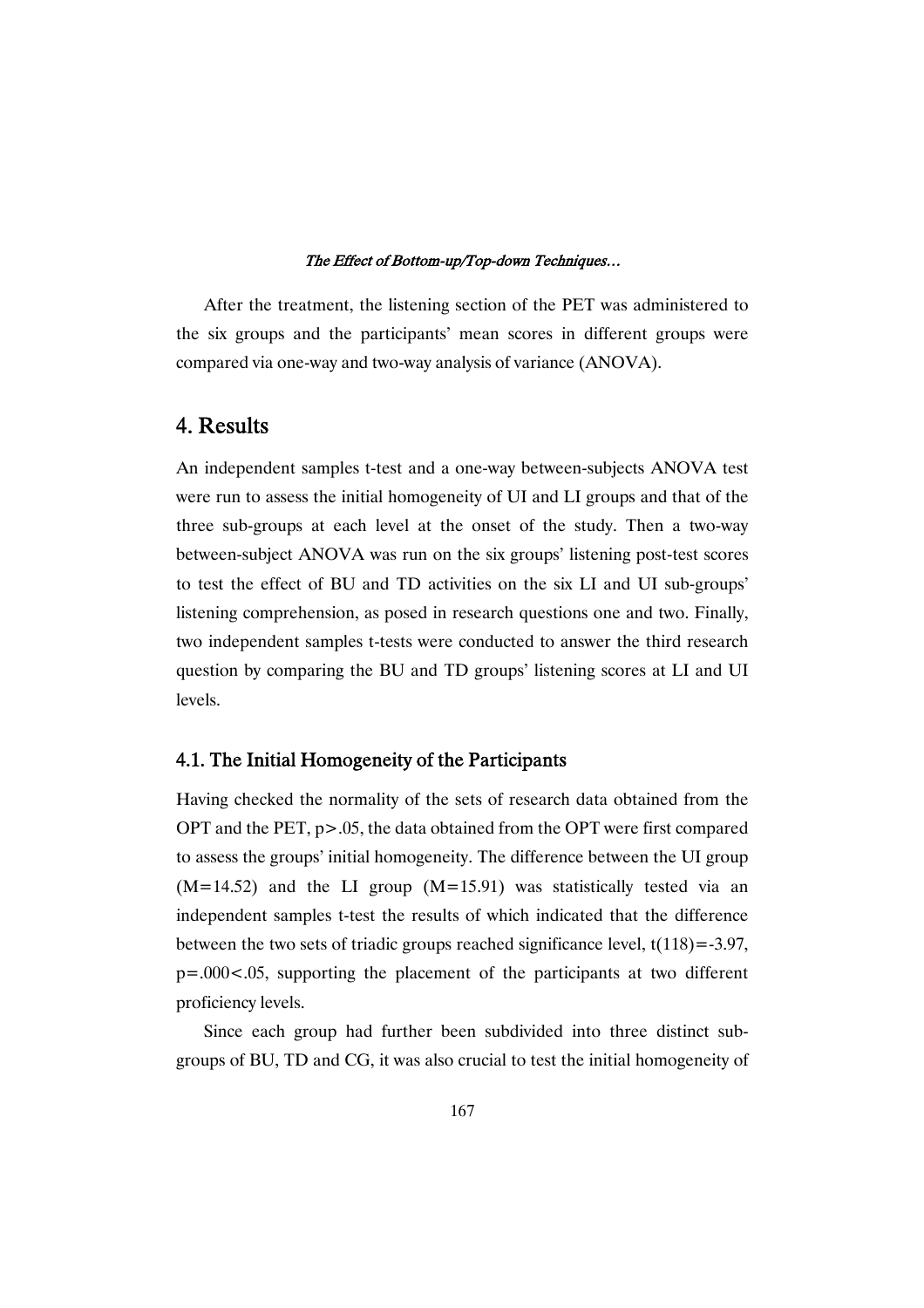After the treatment, the listening section of the PET was administered to the six groups and the participants' mean scores in different groups were compared via one-way and two-way analysis of variance (ANOVA).

# 4. Results

An independent samples t-test and a one-way between-subjects ANOVA test were run to assess the initial homogeneity of UI and LI groups and that of the three sub-groups at each level at the onset of the study. Then a two-way between-subject ANOVA was run on the six groups' listening post-test scores to test the effect of BU and TD activities on the six LI and UI sub-groups' listening comprehension, as posed in research questions one and two. Finally, two independent samples t-tests were conducted to answer the third research question by comparing the BU and TD groups' listening scores at LI and UI levels.

### 4.1. The Initial Homogeneity of the Participants

Having checked the normality of the sets of research data obtained from the OPT and the PET, p>.05, the data obtained from the OPT were first compared to assess the groups' initial homogeneity. The difference between the UI group  $(M=14.52)$  and the LI group  $(M=15.91)$  was statistically tested via an independent samples t-test the results of which indicated that the difference between the two sets of triadic groups reached significance level,  $t(118) = -3.97$ , p=.000<.05, supporting the placement of the participants at two different proficiency levels.

Since each group had further been subdivided into three distinct subgroups of BU, TD and CG, it was also crucial to test the initial homogeneity of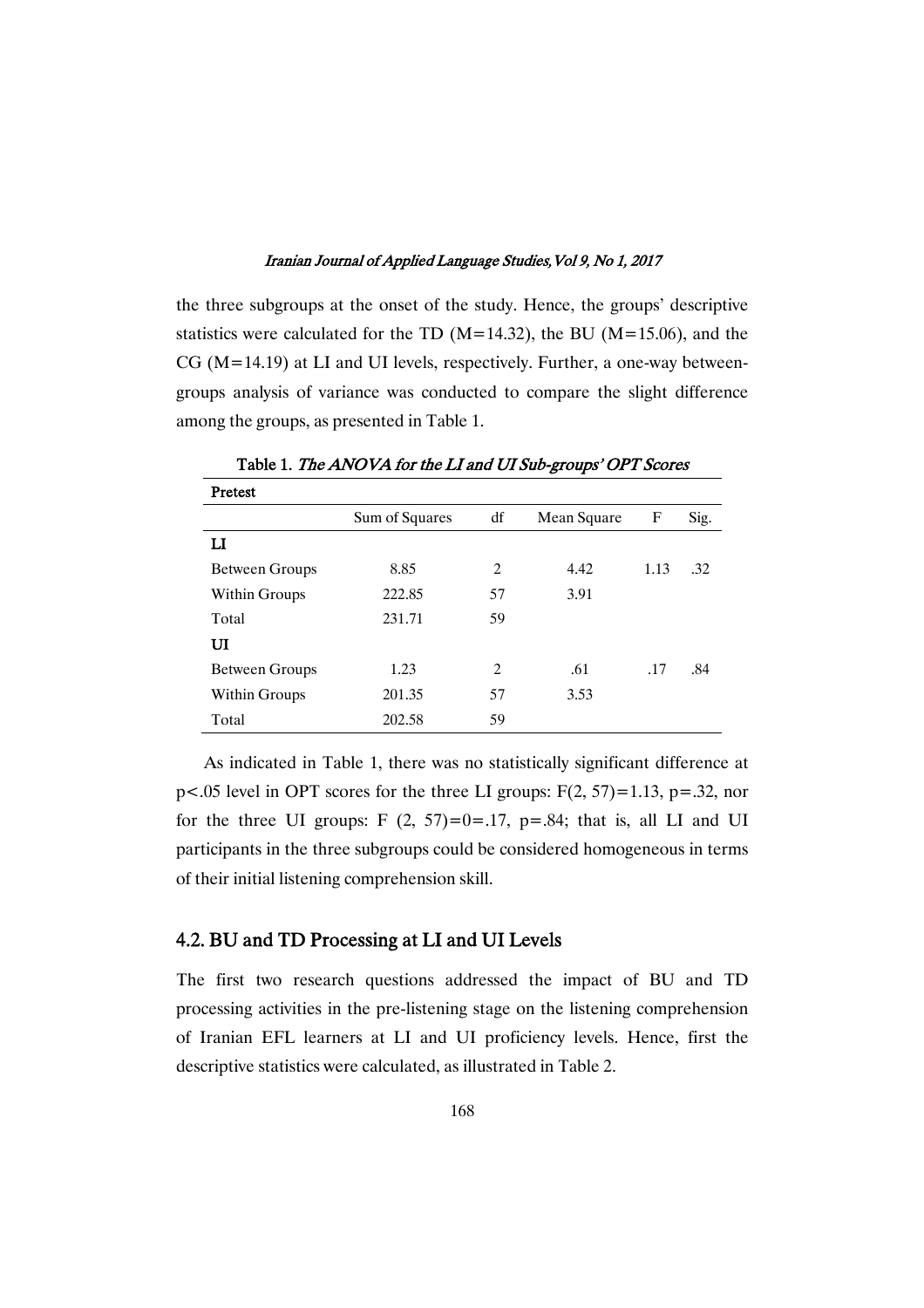the three subgroups at the onset of the study. Hence, the groups' descriptive statistics were calculated for the TD ( $M=14.32$ ), the BU ( $M=15.06$ ), and the CG (M=14.19) at LI and UI levels, respectively. Further, a one-way betweengroups analysis of variance was conducted to compare the slight difference among the groups, as presented in Table 1.

| Pretest        |                |                |             |      |      |
|----------------|----------------|----------------|-------------|------|------|
|                | Sum of Squares | df             | Mean Square | F    | Sig. |
| п              |                |                |             |      |      |
| Between Groups | 8.85           | $\overline{c}$ | 4.42        | 1.13 | .32  |
| Within Groups  | 222.85         | 57             | 3.91        |      |      |
| Total          | 231.71         | 59             |             |      |      |
| UI             |                |                |             |      |      |
| Between Groups | 1.23           | $\overline{c}$ | .61         | .17  | .84  |
| Within Groups  | 201.35         | 57             | 3.53        |      |      |
| Total          | 202.58         | 59             |             |      |      |

Table 1. The ANOVA for the LI and UI Sub-groups' OPT Scores

As indicated in Table 1, there was no statistically significant difference at  $p<0.05$  level in OPT scores for the three LI groups:  $F(2, 57)=1.13$ ,  $p=.32$ , nor for the three UI groups:  $F(2, 57)=0=0.17$ ,  $p=.84$ ; that is, all LI and UI participants in the three subgroups could be considered homogeneous in terms of their initial listening comprehension skill.

### 4.2. BU and TD Processing at LI and UI Levels

The first two research questions addressed the impact of BU and TD processing activities in the pre-listening stage on the listening comprehension of Iranian EFL learners at LI and UI proficiency levels. Hence, first the descriptive statistics were calculated, as illustrated in Table 2.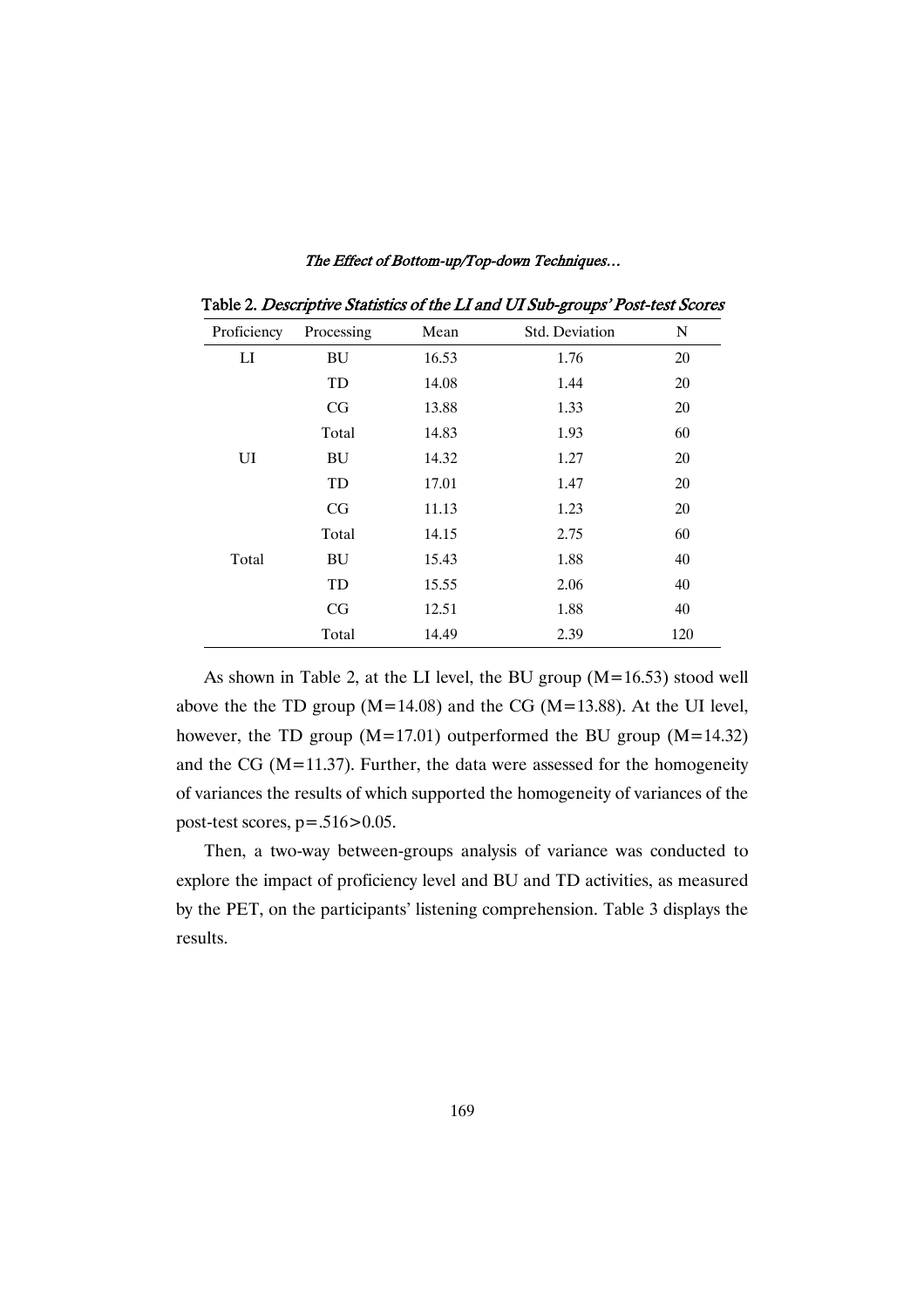|                           | ∸         |       |                |     |
|---------------------------|-----------|-------|----------------|-----|
| Proficiency<br>Processing |           | Mean  | Std. Deviation | N   |
| LI                        | <b>BU</b> | 16.53 | 1.76           | 20  |
|                           | TD        | 14.08 | 1.44           | 20  |
|                           | CG        | 13.88 | 1.33           | 20  |
|                           | Total     | 14.83 | 1.93           | 60  |
| UI                        | BU        | 14.32 | 1.27           | 20  |
|                           | TD        | 17.01 | 1.47           | 20  |
|                           | CG        | 11.13 | 1.23           | 20  |
|                           | Total     | 14.15 | 2.75           | 60  |
| Total                     | <b>BU</b> | 15.43 | 1.88           | 40  |
|                           | TD        | 15.55 | 2.06           | 40  |
|                           | CG        | 12.51 | 1.88           | 40  |
|                           | Total     | 14.49 | 2.39           | 120 |

The Effect of Bottom-up/Top-down Techniques...

Table 2. Descriptive Statistics of the LI and UI Sub-groups' Post-test Scores

As shown in Table 2, at the LI level, the BU group (M=16.53) stood well above the the TD group ( $M=14.08$ ) and the CG ( $M=13.88$ ). At the UI level, however, the TD group  $(M=17.01)$  outperformed the BU group  $(M=14.32)$ and the CG ( $M=11.37$ ). Further, the data were assessed for the homogeneity of variances the results of which supported the homogeneity of variances of the post-test scores, p=.516>0.05.

Then, a two-way between-groups analysis of variance was conducted to explore the impact of proficiency level and BU and TD activities, as measured by the PET, on the participants' listening comprehension. Table 3 displays the results.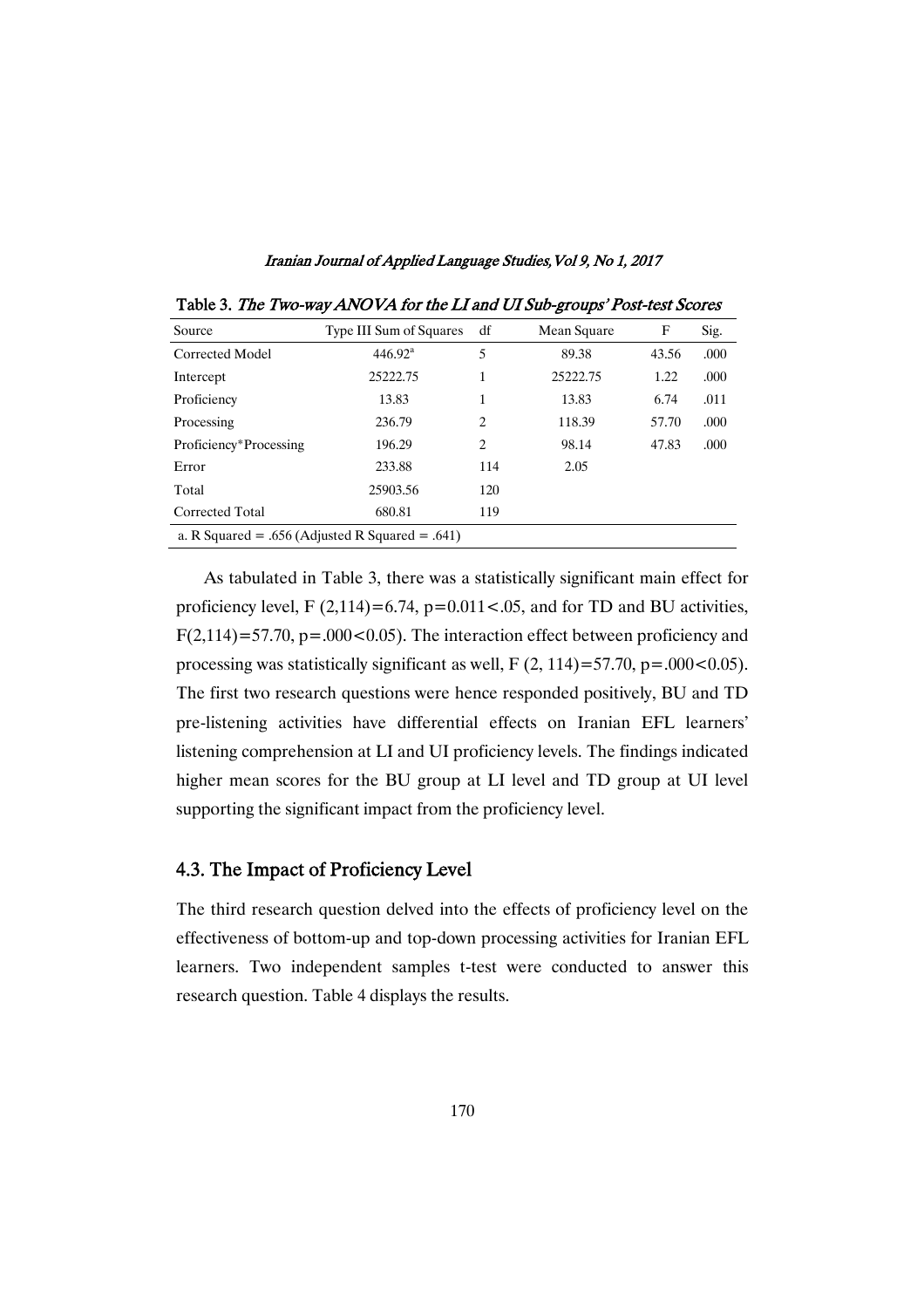| Source                                          | Type III Sum of Squares | df             | Mean Square | F     | Sig. |  |  |  |
|-------------------------------------------------|-------------------------|----------------|-------------|-------|------|--|--|--|
| Corrected Model                                 | 446.92 <sup>a</sup>     | 5              | 89.38       | 43.56 | .000 |  |  |  |
| Intercept                                       | 25222.75                | 1              | 25222.75    | 1.22  | .000 |  |  |  |
| Proficiency                                     | 13.83                   | 1              | 13.83       | 6.74  | .011 |  |  |  |
| Processing                                      | 236.79                  | $\overline{c}$ | 118.39      | 57.70 | .000 |  |  |  |
| Proficiency*Processing                          | 196.29                  | $\overline{c}$ | 98.14       | 47.83 | .000 |  |  |  |
| Error                                           | 233.88                  | 114            | 2.05        |       |      |  |  |  |
| Total                                           | 25903.56                | 120            |             |       |      |  |  |  |
| Corrected Total                                 | 680.81                  | 119            |             |       |      |  |  |  |
| a. R Squared = .656 (Adjusted R Squared = .641) |                         |                |             |       |      |  |  |  |

Iranian Journal of Applied Language Studies, Vol 9, No 1, 2017

Table 3. The Two-way ANOVA for the LI and UI Sub-groups' Post-test Scores

As tabulated in Table 3, there was a statistically significant main effect for proficiency level, F  $(2,114) = 6.74$ , p=0.011 < .05, and for TD and BU activities,  $F(2,114)=57.70$ ,  $p=.000<0.05$ ). The interaction effect between proficiency and processing was statistically significant as well,  $F(2, 114)=57.70$ ,  $p=.000<0.05$ ). The first two research questions were hence responded positively, BU and TD pre-listening activities have differential effects on Iranian EFL learners' listening comprehension at LI and UI proficiency levels. The findings indicated higher mean scores for the BU group at LI level and TD group at UI level supporting the significant impact from the proficiency level.

### 4.3. The Impact of Proficiency Level

The third research question delved into the effects of proficiency level on the effectiveness of bottom-up and top-down processing activities for Iranian EFL learners. Two independent samples t-test were conducted to answer this research question. Table 4 displays the results.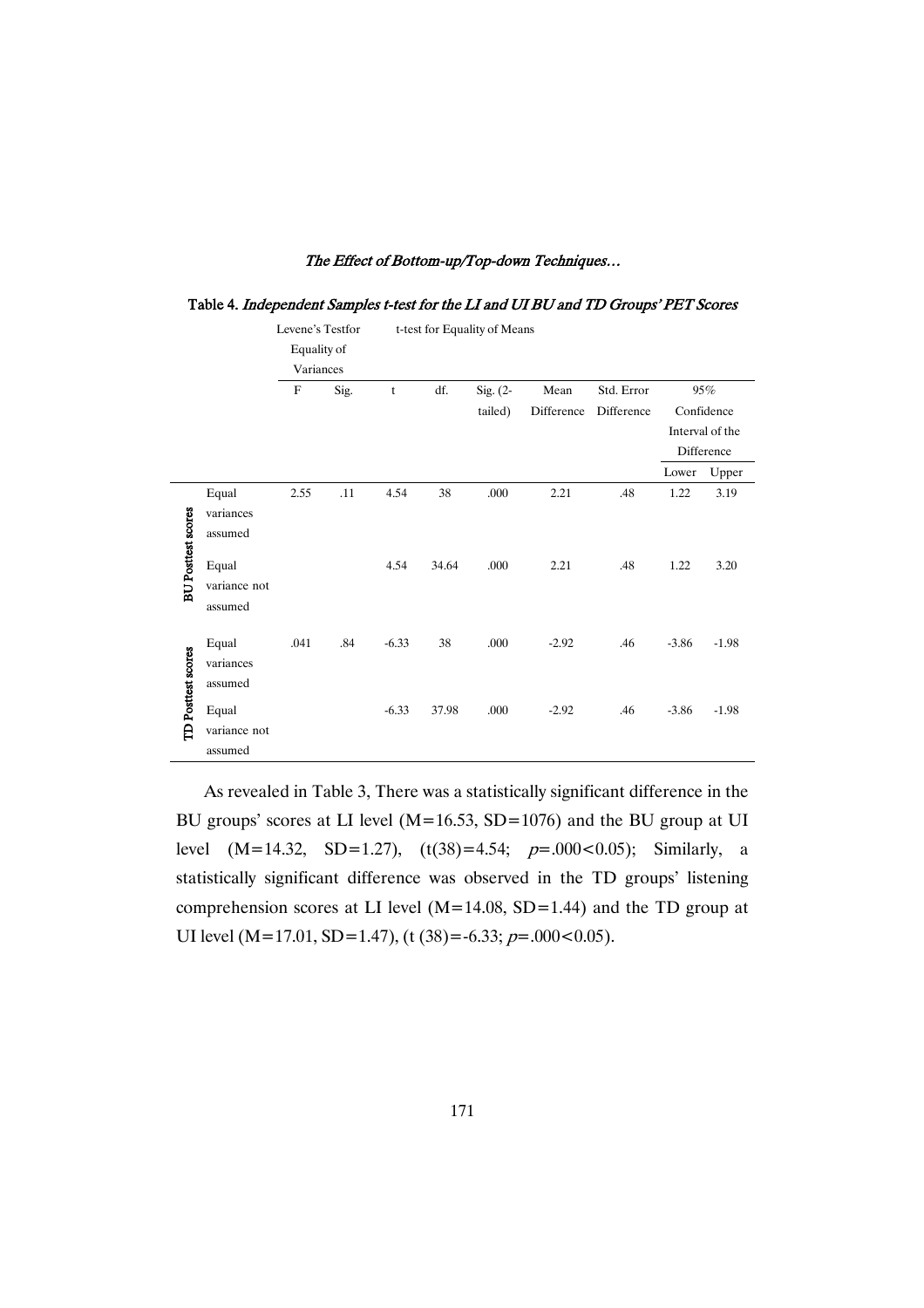|                           |              | Levene's Testfor |      |         | t-test for Equality of Means |          |            |            |         |                 |
|---------------------------|--------------|------------------|------|---------|------------------------------|----------|------------|------------|---------|-----------------|
|                           |              | Equality of      |      |         |                              |          |            |            |         |                 |
|                           |              | Variances        |      |         |                              |          |            |            |         |                 |
|                           |              | $_{\rm F}$       | Sig. | t       | df.                          | Sig. (2- | Mean       | Std. Error |         | 95%             |
|                           |              |                  |      |         |                              | tailed)  | Difference | Difference |         | Confidence      |
|                           |              |                  |      |         |                              |          |            |            |         | Interval of the |
|                           |              |                  |      |         |                              |          |            |            |         | Difference      |
|                           |              |                  |      |         |                              |          |            |            | Lower   | Upper           |
|                           | Equal        | 2.55             | .11  | 4.54    | 38                           | .000     | 2.21       | .48        | 1.22    | 3.19            |
|                           | variances    |                  |      |         |                              |          |            |            |         |                 |
|                           | assumed      |                  |      |         |                              |          |            |            |         |                 |
| <b>BU Posttest scores</b> | Equal        |                  |      | 4.54    | 34.64                        | .000     | 2.21       | .48        | 1.22    | 3.20            |
|                           |              |                  |      |         |                              |          |            |            |         |                 |
|                           | variance not |                  |      |         |                              |          |            |            |         |                 |
|                           | assumed      |                  |      |         |                              |          |            |            |         |                 |
|                           | Equal        | .041             | .84  | $-6.33$ | 38                           | .000     | $-2.92$    | .46        | $-3.86$ | $-1.98$         |
| <b>TD</b> Posttest scores | variances    |                  |      |         |                              |          |            |            |         |                 |
|                           | assumed      |                  |      |         |                              |          |            |            |         |                 |
|                           |              |                  |      |         |                              |          |            |            |         |                 |
|                           | Equal        |                  |      | $-6.33$ | 37.98                        | .000     | $-2.92$    | .46        | $-3.86$ | $-1.98$         |
|                           | variance not |                  |      |         |                              |          |            |            |         |                 |
|                           | assumed      |                  |      |         |                              |          |            |            |         |                 |

### Table 4. Independent Samples t-test for the LI and UI BU and TD Groups' PET Scores

As revealed in Table 3, There was a statistically significant difference in the BU groups' scores at LI level (M=16.53, SD=1076) and the BU group at UI level  $(M=14.32, SD=1.27)$ ,  $(t(38)=4.54; p=.000<0.05)$ ; Similarly, a statistically significant difference was observed in the TD groups' listening comprehension scores at LI level  $(M=14.08, SD=1.44)$  and the TD group at UI level (M=17.01, SD=1.47), (t (38)=-6.33;  $p=.000<0.05$ ).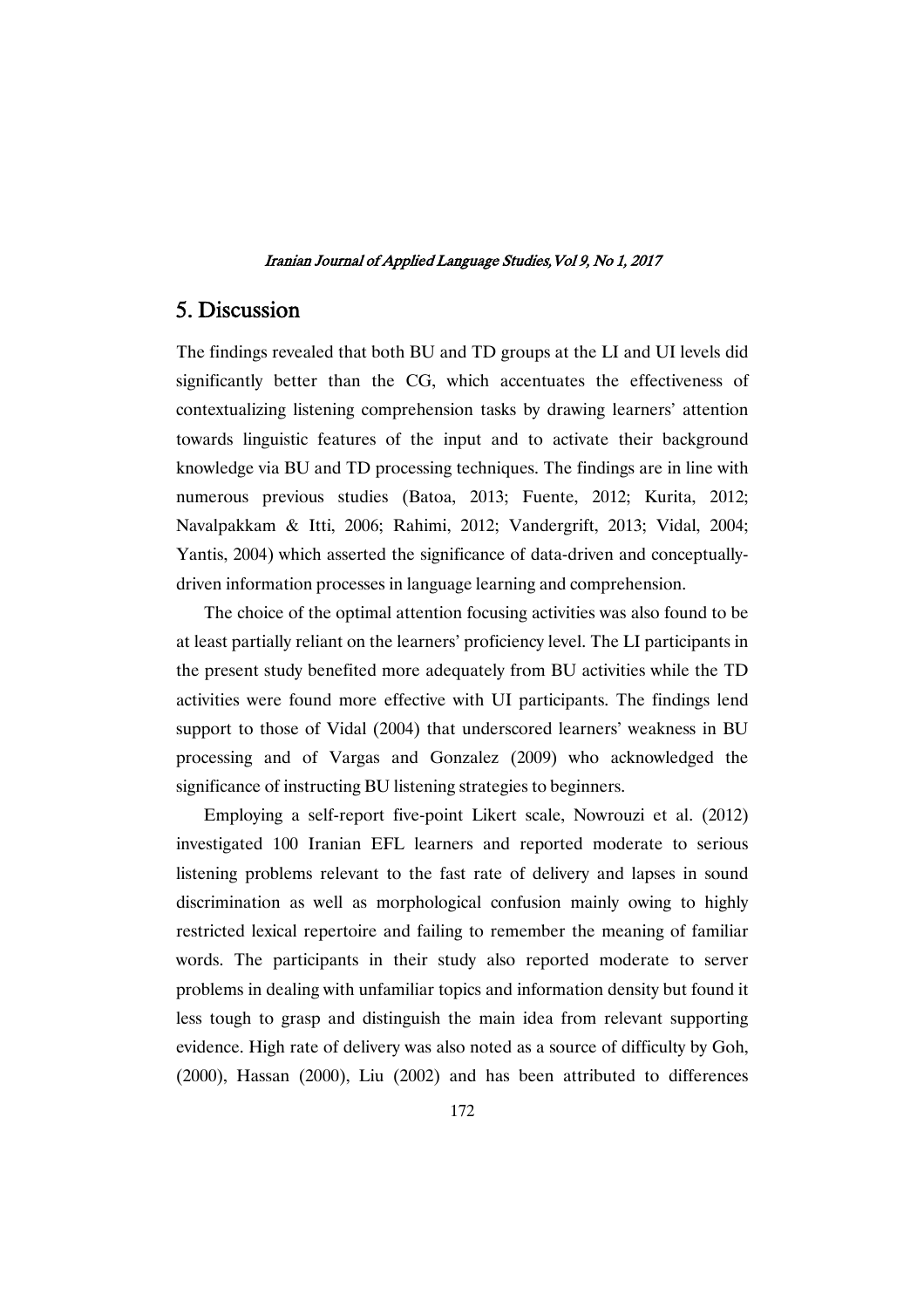# 5. Discussion

The findings revealed that both BU and TD groups at the LI and UI levels did significantly better than the CG, which accentuates the effectiveness of contextualizing listening comprehension tasks by drawing learners' attention towards linguistic features of the input and to activate their background knowledge via BU and TD processing techniques. The findings are in line with numerous previous studies (Batoa, 2013; Fuente, 2012; Kurita, 2012; Navalpakkam & Itti, 2006; Rahimi, 2012; Vandergrift, 2013; Vidal, 2004; Yantis, 2004) which asserted the significance of data-driven and conceptuallydriven information processes in language learning and comprehension.

The choice of the optimal attention focusing activities was also found to be at least partially reliant on the learners' proficiency level. The LI participants in the present study benefited more adequately from BU activities while the TD activities were found more effective with UI participants. The findings lend support to those of Vidal (2004) that underscored learners' weakness in BU processing and of Vargas and Gonzalez (2009) who acknowledged the significance of instructing BU listening strategies to beginners.

Employing a self-report five-point Likert scale, Nowrouzi et al. (2012) investigated 100 Iranian EFL learners and reported moderate to serious listening problems relevant to the fast rate of delivery and lapses in sound discrimination as well as morphological confusion mainly owing to highly restricted lexical repertoire and failing to remember the meaning of familiar words. The participants in their study also reported moderate to server problems in dealing with unfamiliar topics and information density but found it less tough to grasp and distinguish the main idea from relevant supporting evidence. High rate of delivery was also noted as a source of difficulty by Goh, (2000), Hassan (2000), Liu (2002) and has been attributed to differences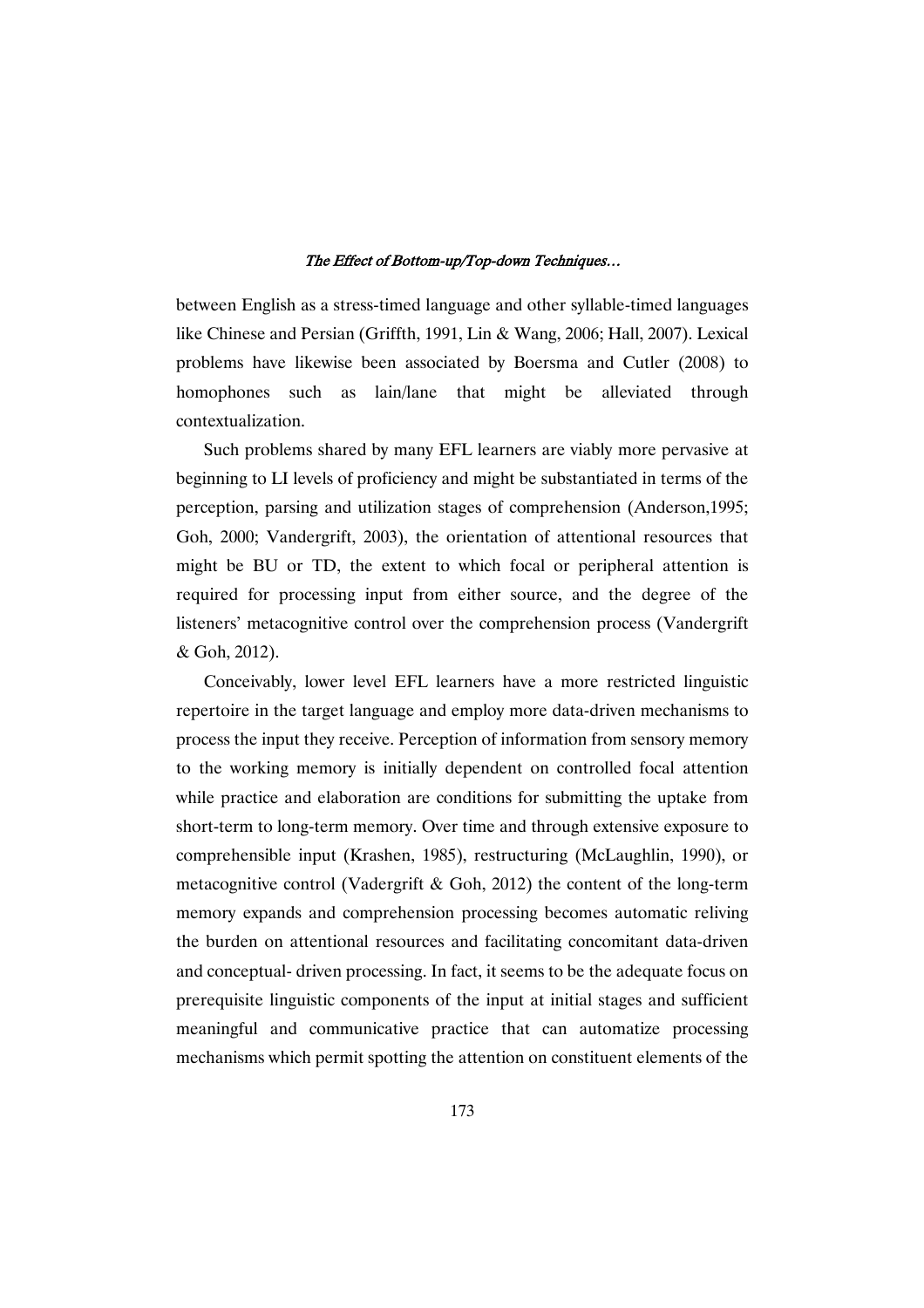between English as a stress-timed language and other syllable-timed languages like Chinese and Persian (Griffth, 1991, Lin & Wang, 2006; Hall, 2007). Lexical problems have likewise been associated by Boersma and Cutler (2008) to homophones such as lain/lane that might be alleviated through contextualization.

Such problems shared by many EFL learners are viably more pervasive at beginning to LI levels of proficiency and might be substantiated in terms of the perception, parsing and utilization stages of comprehension (Anderson,1995; Goh, 2000; Vandergrift, 2003), the orientation of attentional resources that might be BU or TD, the extent to which focal or peripheral attention is required for processing input from either source, and the degree of the listeners' metacognitive control over the comprehension process (Vandergrift & Goh, 2012).

Conceivably, lower level EFL learners have a more restricted linguistic repertoire in the target language and employ more data-driven mechanisms to process the input they receive. Perception of information from sensory memory to the working memory is initially dependent on controlled focal attention while practice and elaboration are conditions for submitting the uptake from short-term to long-term memory. Over time and through extensive exposure to comprehensible input (Krashen, 1985), restructuring (McLaughlin, 1990), or metacognitive control (Vadergrift & Goh, 2012) the content of the long-term memory expands and comprehension processing becomes automatic reliving the burden on attentional resources and facilitating concomitant data-driven and conceptual- driven processing. In fact, it seems to be the adequate focus on prerequisite linguistic components of the input at initial stages and sufficient meaningful and communicative practice that can automatize processing mechanisms which permit spotting the attention on constituent elements of the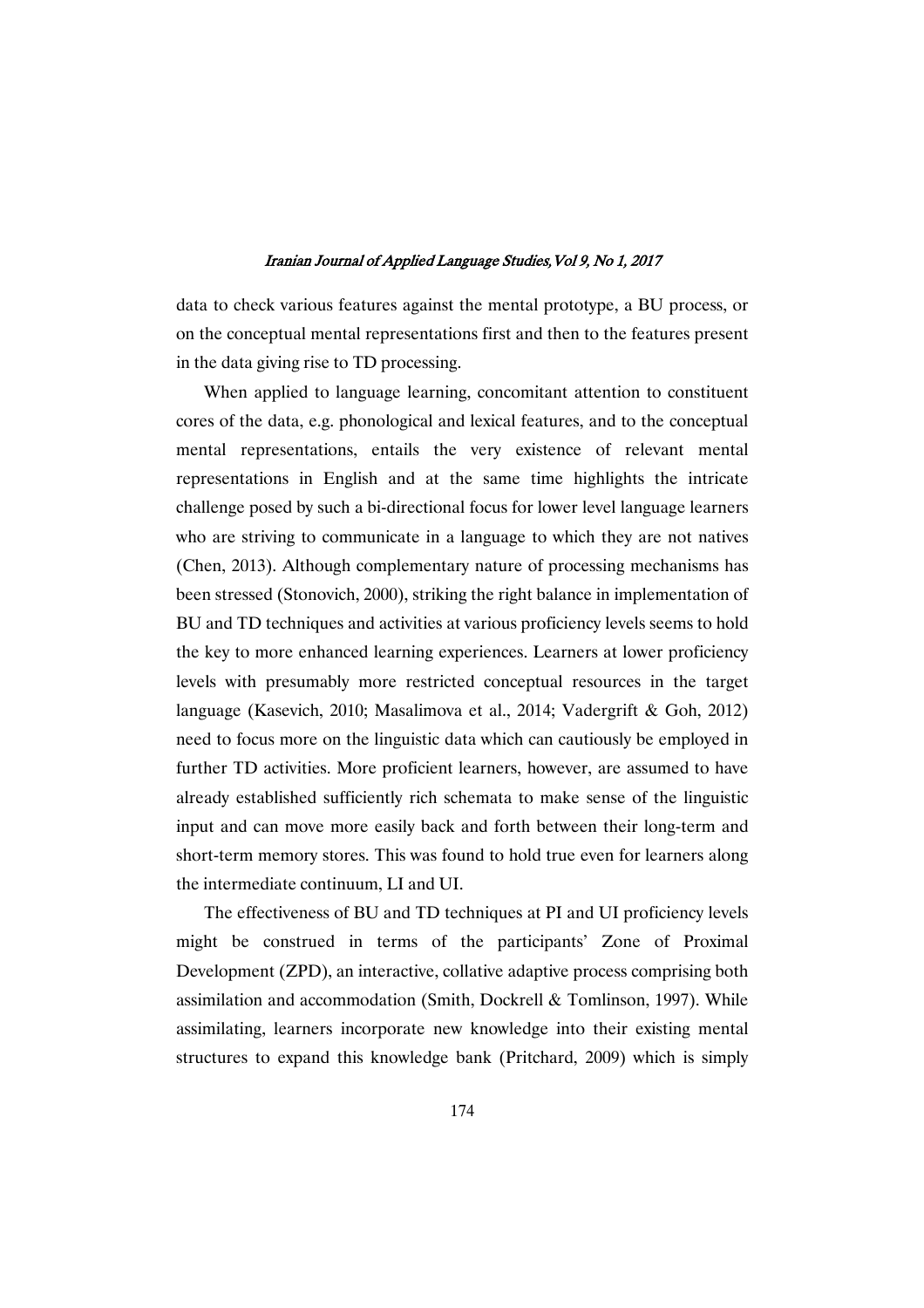data to check various features against the mental prototype, a BU process, or on the conceptual mental representations first and then to the features present in the data giving rise to TD processing.

When applied to language learning, concomitant attention to constituent cores of the data, e.g. phonological and lexical features, and to the conceptual mental representations, entails the very existence of relevant mental representations in English and at the same time highlights the intricate challenge posed by such a bi-directional focus for lower level language learners who are striving to communicate in a language to which they are not natives (Chen, 2013). Although complementary nature of processing mechanisms has been stressed (Stonovich, 2000), striking the right balance in implementation of BU and TD techniques and activities at various proficiency levels seems to hold the key to more enhanced learning experiences. Learners at lower proficiency levels with presumably more restricted conceptual resources in the target language (Kasevich, 2010; Masalimova et al., 2014; Vadergrift & Goh, 2012) need to focus more on the linguistic data which can cautiously be employed in further TD activities. More proficient learners, however, are assumed to have already established sufficiently rich schemata to make sense of the linguistic input and can move more easily back and forth between their long-term and short-term memory stores. This was found to hold true even for learners along the intermediate continuum, LI and UI.

The effectiveness of BU and TD techniques at PI and UI proficiency levels might be construed in terms of the participants' Zone of Proximal Development (ZPD), an interactive, collative adaptive process comprising both assimilation and accommodation (Smith, Dockrell & Tomlinson, 1997). While assimilating, learners incorporate new knowledge into their existing mental structures to expand this knowledge bank (Pritchard, 2009) which is simply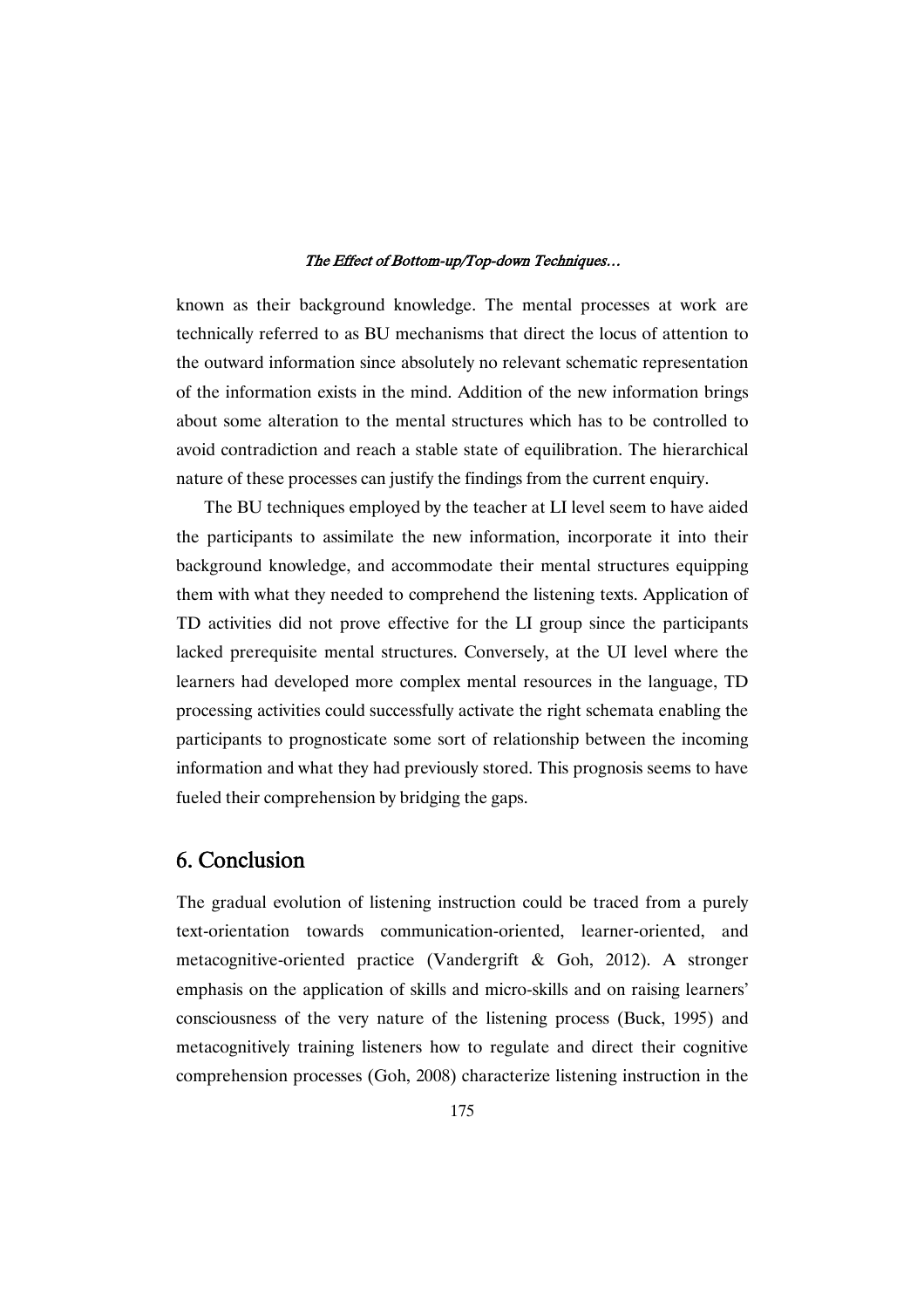known as their background knowledge. The mental processes at work are technically referred to as BU mechanisms that direct the locus of attention to the outward information since absolutely no relevant schematic representation of the information exists in the mind. Addition of the new information brings about some alteration to the mental structures which has to be controlled to avoid contradiction and reach a stable state of equilibration. The hierarchical nature of these processes can justify the findings from the current enquiry.

The BU techniques employed by the teacher at LI level seem to have aided the participants to assimilate the new information, incorporate it into their background knowledge, and accommodate their mental structures equipping them with what they needed to comprehend the listening texts. Application of TD activities did not prove effective for the LI group since the participants lacked prerequisite mental structures. Conversely, at the UI level where the learners had developed more complex mental resources in the language, TD processing activities could successfully activate the right schemata enabling the participants to prognosticate some sort of relationship between the incoming information and what they had previously stored. This prognosis seems to have fueled their comprehension by bridging the gaps.

# 6. Conclusion

The gradual evolution of listening instruction could be traced from a purely text-orientation towards communication-oriented, learner-oriented, and metacognitive-oriented practice (Vandergrift & Goh, 2012). A stronger emphasis on the application of skills and micro-skills and on raising learners' consciousness of the very nature of the listening process (Buck, 1995) and metacognitively training listeners how to regulate and direct their cognitive comprehension processes (Goh, 2008) characterize listening instruction in the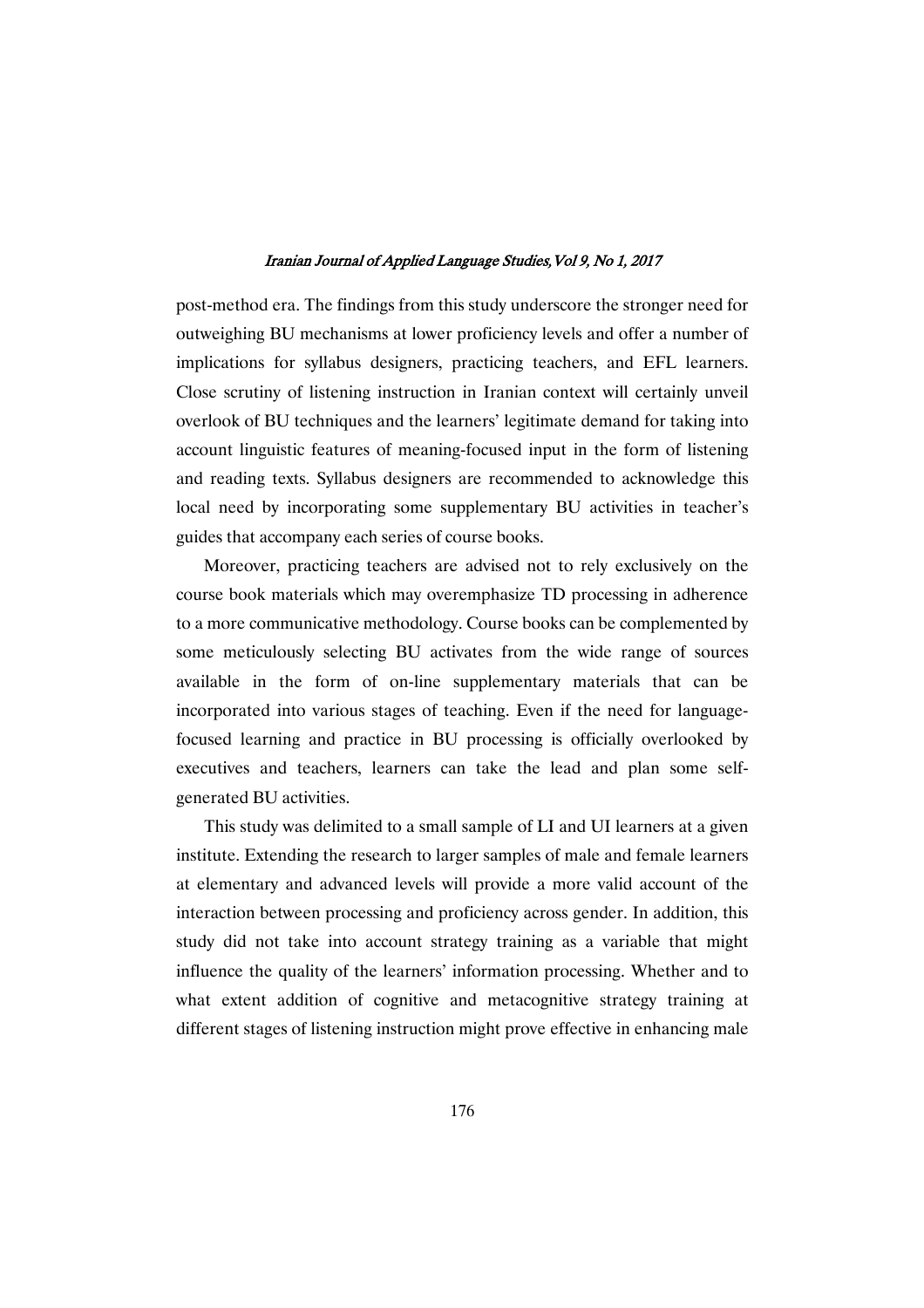post-method era. The findings from this study underscore the stronger need for outweighing BU mechanisms at lower proficiency levels and offer a number of implications for syllabus designers, practicing teachers, and EFL learners. Close scrutiny of listening instruction in Iranian context will certainly unveil overlook of BU techniques and the learners' legitimate demand for taking into account linguistic features of meaning-focused input in the form of listening and reading texts. Syllabus designers are recommended to acknowledge this local need by incorporating some supplementary BU activities in teacher's guides that accompany each series of course books.

Moreover, practicing teachers are advised not to rely exclusively on the course book materials which may overemphasize TD processing in adherence to a more communicative methodology. Course books can be complemented by some meticulously selecting BU activates from the wide range of sources available in the form of on-line supplementary materials that can be incorporated into various stages of teaching. Even if the need for languagefocused learning and practice in BU processing is officially overlooked by executives and teachers, learners can take the lead and plan some selfgenerated BU activities.

This study was delimited to a small sample of LI and UI learners at a given institute. Extending the research to larger samples of male and female learners at elementary and advanced levels will provide a more valid account of the interaction between processing and proficiency across gender. In addition, this study did not take into account strategy training as a variable that might influence the quality of the learners' information processing. Whether and to what extent addition of cognitive and metacognitive strategy training at different stages of listening instruction might prove effective in enhancing male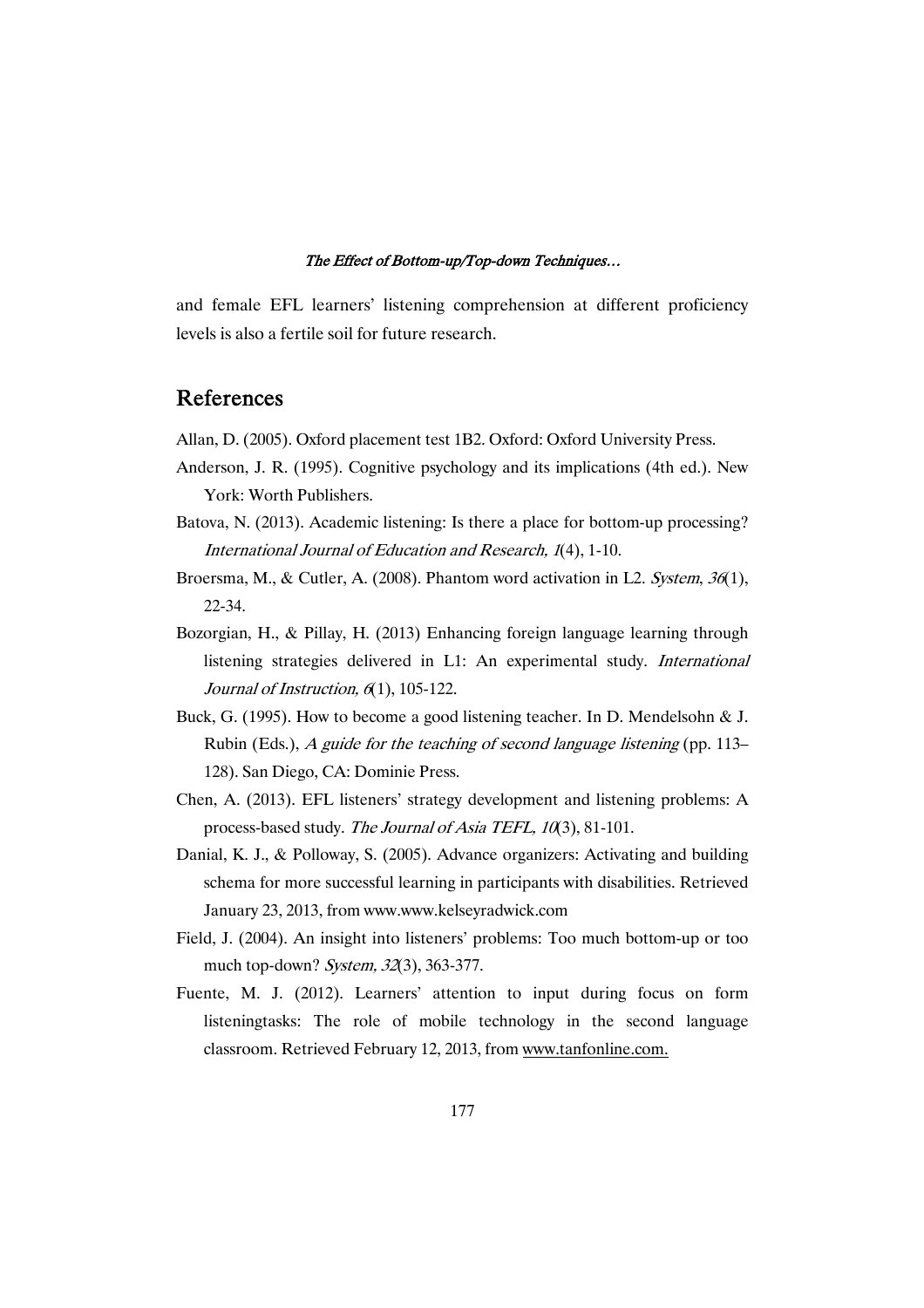and female EFL learners' listening comprehension at different proficiency levels is also a fertile soil for future research.

### References

Allan, D. (2005). Oxford placement test 1B2. Oxford: Oxford University Press.

- Anderson, J. R. (1995). Cognitive psychology and its implications (4th ed.). New York: Worth Publishers.
- Batova, N. (2013). Academic listening: Is there a place for bottom-up processing? International Journal of Education and Research, <sup>1</sup>(4), 1-10.
- Broersma, M., & Cutler, A. (2008). Phantom word activation in L2. System, 36(1), 22-34.
- Bozorgian, H., & Pillay, H. (2013) Enhancing foreign language learning through listening strategies delivered in L1: An experimental study. International Journal of Instruction, 6(1), 105-122.
- Buck, G. (1995). How to become a good listening teacher. In D. Mendelsohn & J. Rubin (Eds.), A guide for the teaching of second language listening (pp. 113– 128). San Diego, CA: Dominie Press.
- Chen, A. (2013). EFL listeners' strategy development and listening problems: A process-based study. The Journal of Asia TEFL, <sup>10</sup>(3), 81-101.
- Danial, K. J., & Polloway, S. (2005). Advance organizers: Activating and building schema for more successful learning in participants with disabilities. Retrieved January 23, 2013, from www.www.kelseyradwick.com
- Field, J. (2004). An insight into listeners' problems: Too much bottom-up or too much top-down? System, 32(3), 363-377.
- Fuente, M. J. (2012). Learners' attention to input during focus on form listeningtasks: The role of mobile technology in the second language classroom. Retrieved February 12, 2013, from www.tanfonline.com.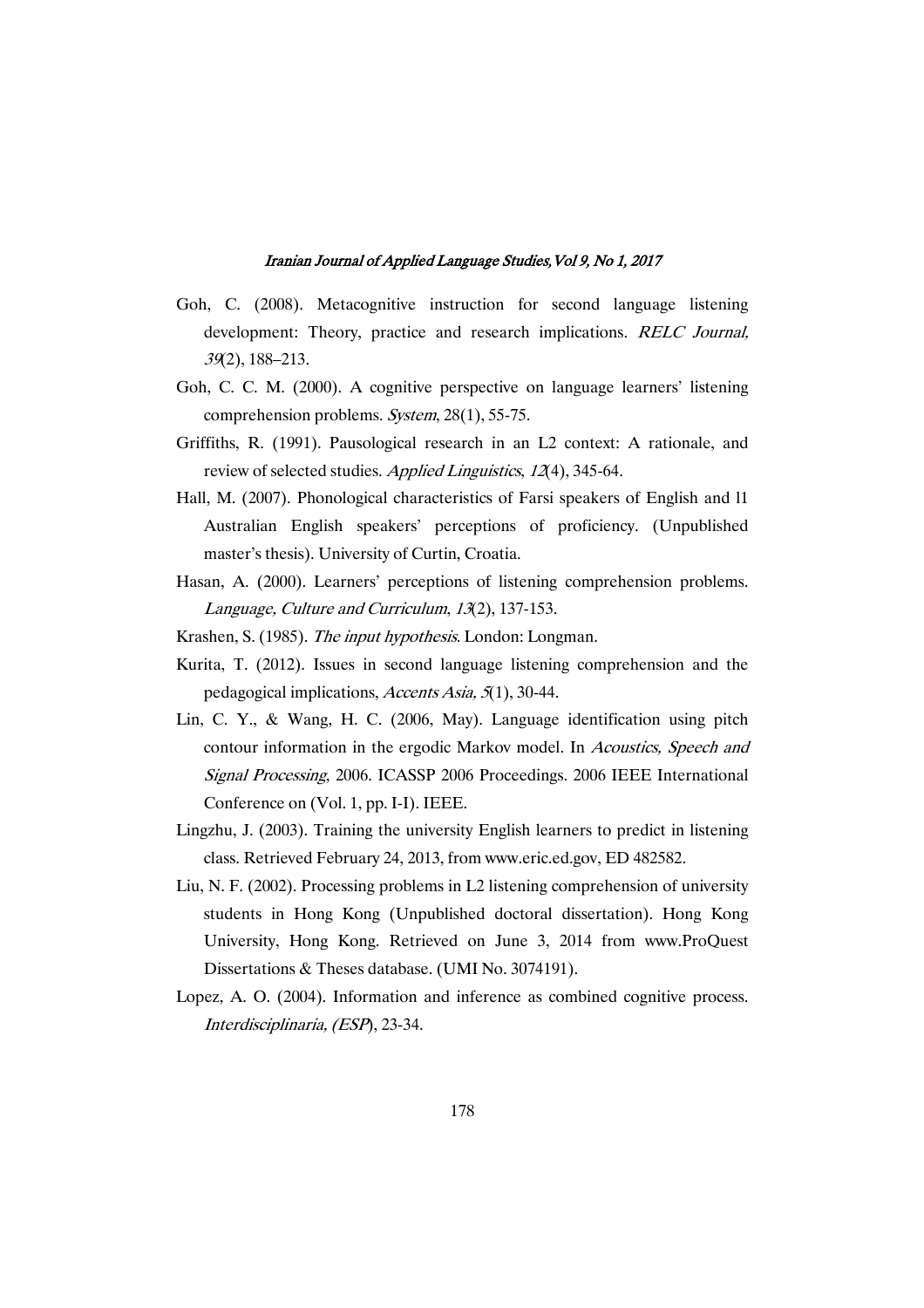- Goh, C. (2008). Metacognitive instruction for second language listening development: Theory, practice and research implications. RELC Journal, <sup>39</sup>(2), 188–213.
- Goh, C. C. M. (2000). A cognitive perspective on language learners' listening comprehension problems. System, 28(1), 55-75.
- Griffiths, R. (1991). Pausological research in an L2 context: A rationale, and review of selected studies. Applied Linguistics, 12(4), 345-64.
- Hall, M. (2007). Phonological characteristics of Farsi speakers of English and l1 Australian English speakers' perceptions of proficiency. (Unpublished master's thesis). University of Curtin, Croatia.
- Hasan, A. (2000). Learners' perceptions of listening comprehension problems. Language, Culture and Curriculum, <sup>13</sup>(2), 137-153.
- Krashen, S. (1985). The input hypothesis. London: Longman.
- Kurita, T. (2012). Issues in second language listening comprehension and the pedagogical implications, Accents Asia, <sup>5</sup>(1), 30-44.
- Lin, C. Y., & Wang, H. C. (2006, May). Language identification using pitch contour information in the ergodic Markov model. In Acoustics, Speech and Signal Processing, 2006. ICASSP 2006 Proceedings. 2006 IEEE International Conference on (Vol. 1, pp. I-I). IEEE.
- Lingzhu, J. (2003). Training the university English learners to predict in listening class. Retrieved February 24, 2013, from www.eric.ed.gov, ED 482582.
- Liu, N. F. (2002). Processing problems in L2 listening comprehension of university students in Hong Kong (Unpublished doctoral dissertation). Hong Kong University, Hong Kong. Retrieved on June 3, 2014 from www.ProQuest Dissertations & Theses database. (UMI No. 3074191).
- Lopez, A. O. (2004). Information and inference as combined cognitive process. Interdisciplinaria, (ESP), 23-34.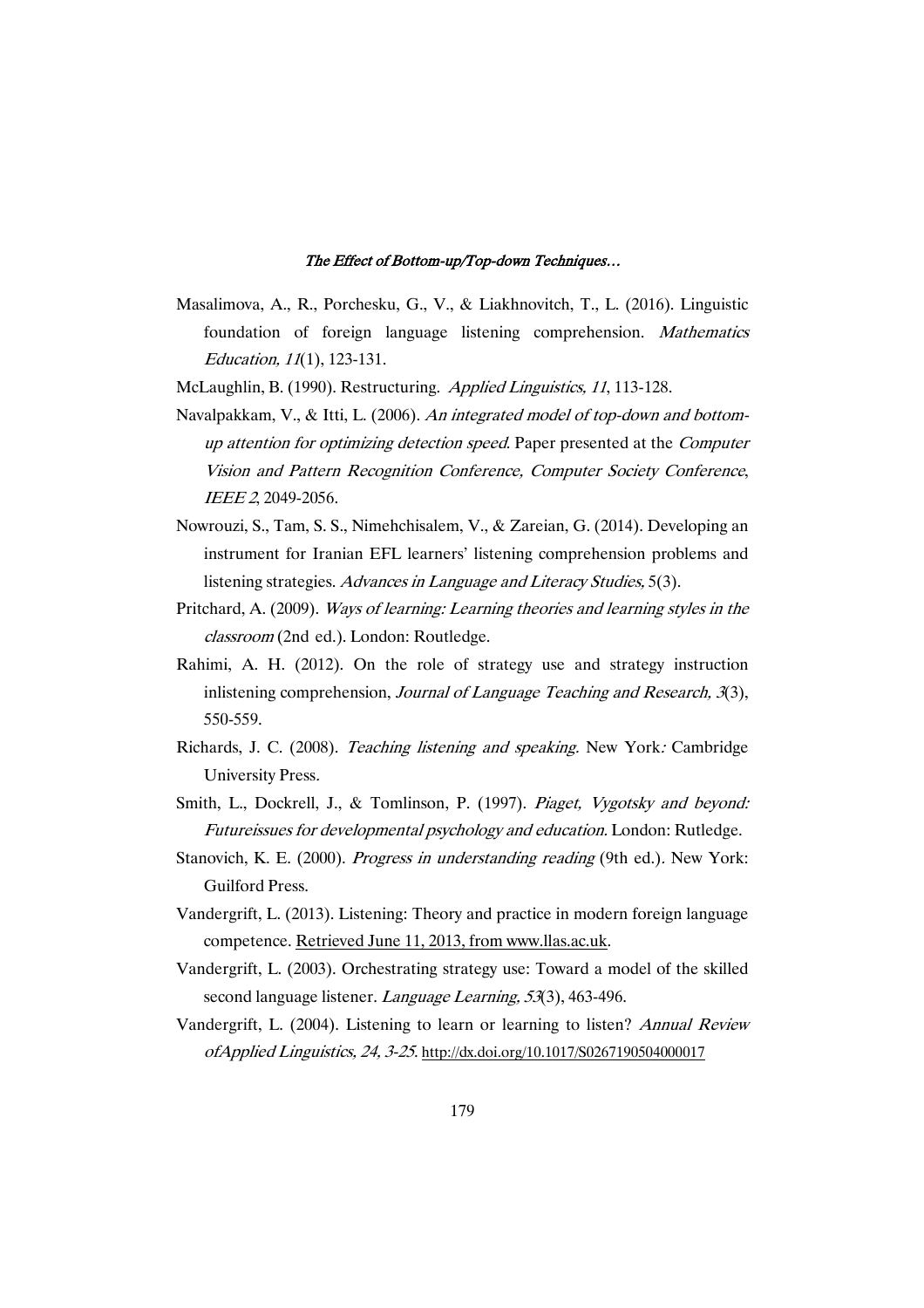- Masalimova, A., R., Porchesku, G., V., & Liakhnovitch, T., L. (2016). Linguistic foundation of foreign language listening comprehension. Mathematics Education, <sup>11</sup>(1), 123-131.
- McLaughlin, B. (1990). Restructuring. Applied Linguistics, <sup>11</sup>, 113-128.
- Navalpakkam, V., & Itti, L. (2006). An integrated model of top-down and bottomup attention for optimizing detection speed. Paper presented at the Computer Vision and Pattern Recognition Conference, Computer Society Conference, IEEE <sup>2</sup>, 2049-2056.
- Nowrouzi, S., Tam, S. S., Nimehchisalem, V., & Zareian, G. (2014). Developing an instrument for Iranian EFL learners' listening comprehension problems and listening strategies. Advances in Language and Literacy Studies, 5(3).
- Pritchard, A. (2009). Ways of learning: Learning theories and learning styles in the classroom (2nd ed.). London: Routledge.
- Rahimi, A. H. (2012). On the role of strategy use and strategy instruction inlistening comprehension, *Journal of Language Teaching and Research*,  $\mathfrak{K}(3)$ , 550-559.
- Richards, J. C. (2008). Teaching listening and speaking. New York: Cambridge University Press.
- Smith, L., Dockrell, J., & Tomlinson, P. (1997). Piaget, Vygotsky and beyond: Futureissues for developmental psychology and education. London: Rutledge.
- Stanovich, K. E. (2000). Progress in understanding reading (9th ed.). New York: Guilford Press.
- Vandergrift, L. (2013). Listening: Theory and practice in modern foreign language competence. Retrieved June 11, 2013, from www.llas.ac.uk.
- Vandergrift, L. (2003). Orchestrating strategy use: Toward a model of the skilled second language listener. *Language Learning*, 53(3), 463-496.
- Vandergrift, L. (2004). Listening to learn or learning to listen? Annual Review ofApplied Linguistics, 24, 3-25. http://dx.doi.org/10.1017/S0267190504000017